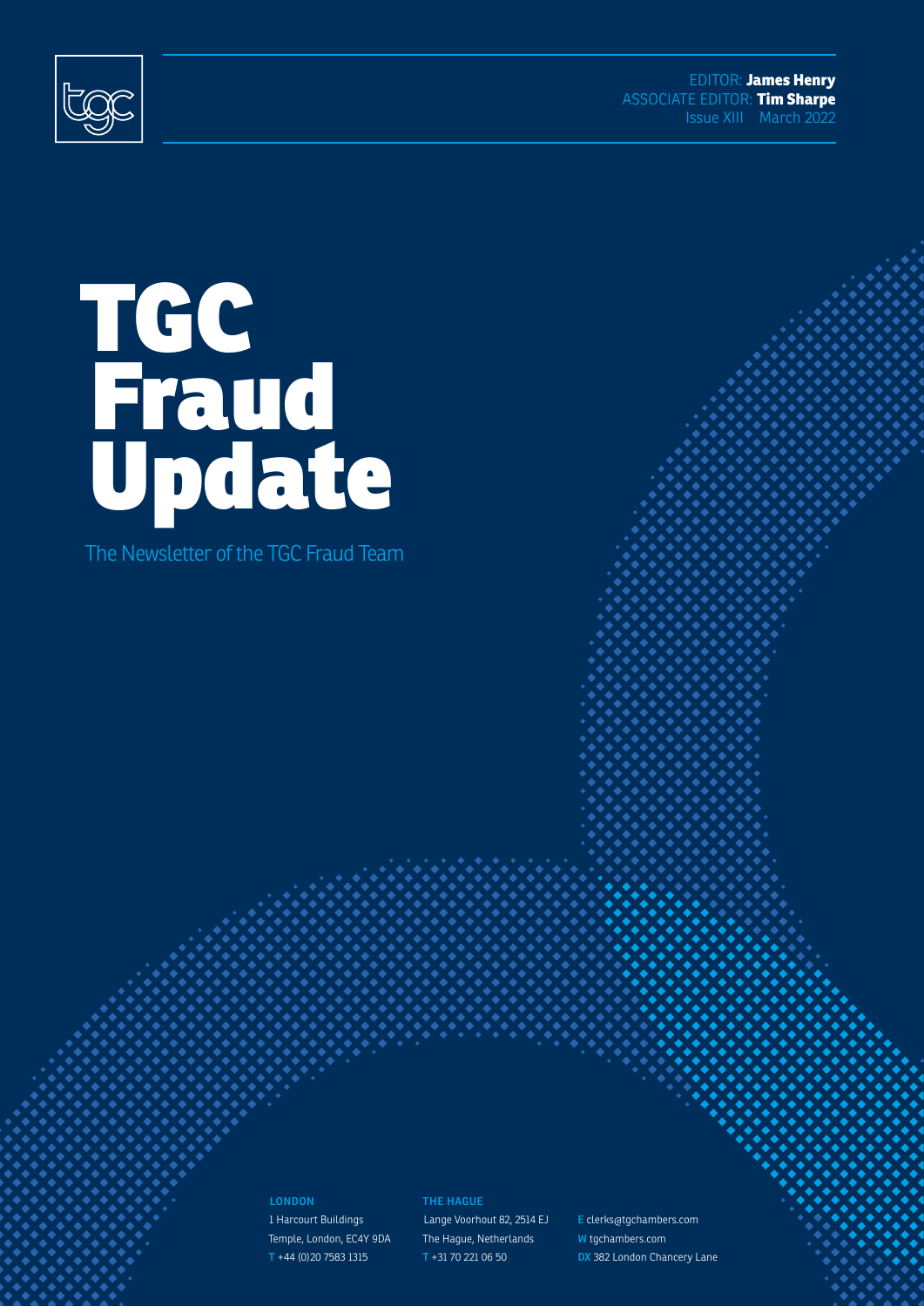EDITOR: **James Henry** ASSOCIATE EDITOR: **Tim Sharpe** Issue XIII March 2022



# TGC Fraud Update

The Newsletter of the TGC Fraud Team

**LONDON** 1 Harcourt Buildings Temple, London, EC4Y 9DA **T** +44 (0)20 7583 1315

#### **THE HAGUE**

Lange Voorhout 82, 2514 EJ The Hague, Netherlands **T** +31 70 221 06 50

**E** clerks@tgchambers.com **W** tgchambers.com **DX** 382 London Chancery Lane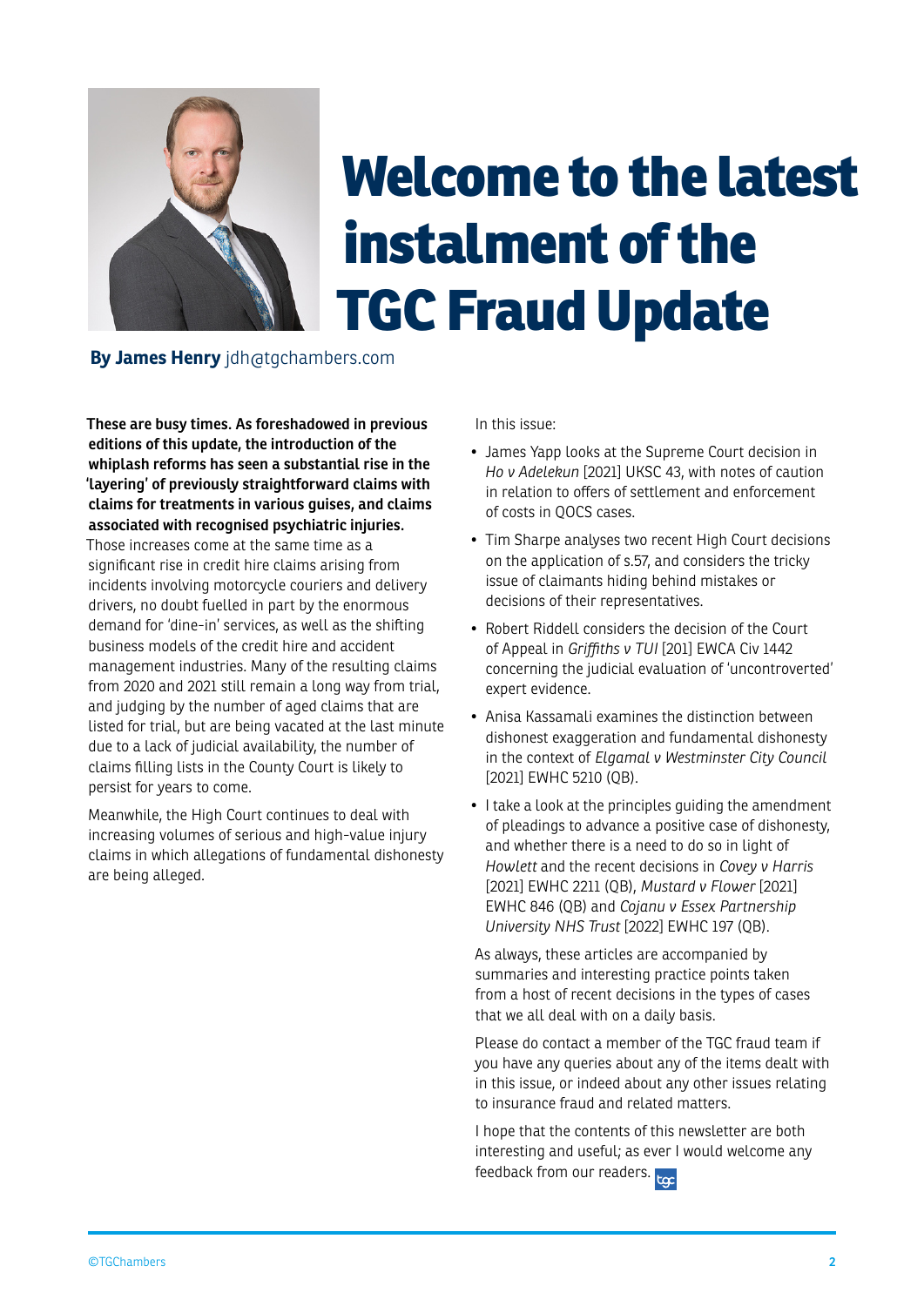

## **Welcome to the latest instalment of the TGC Fraud Update**

#### **By James Henry** jdh@tgchambers.com

**These are busy times. As foreshadowed in previous editions of this update, the introduction of the whiplash reforms has seen a substantial rise in the 'layering' of previously straightforward claims with claims for treatments in various guises, and claims associated with recognised psychiatric injuries.**  Those increases come at the same time as a significant rise in credit hire claims arising from incidents involving motorcycle couriers and delivery drivers, no doubt fuelled in part by the enormous demand for 'dine-in' services, as well as the shifting business models of the credit hire and accident management industries. Many of the resulting claims from 2020 and 2021 still remain a long way from trial, and judging by the number of aged claims that are listed for trial, but are being vacated at the last minute due to a lack of judicial availability, the number of claims filling lists in the County Court is likely to persist for years to come.

Meanwhile, the High Court continues to deal with increasing volumes of serious and high-value injury claims in which allegations of fundamental dishonesty are being alleged.

In this issue:

- James Yapp looks at the Supreme Court decision in *Ho v Adelekun* [2021] UKSC 43, with notes of caution in relation to offers of settlement and enforcement of costs in QOCS cases.
- Tim Sharpe analyses two recent High Court decisions on the application of s.57, and considers the tricky issue of claimants hiding behind mistakes or decisions of their representatives.
- Robert Riddell considers the decision of the Court of Appeal in *Griffiths v TUI* [201] EWCA Civ 1442 concerning the judicial evaluation of 'uncontroverted' expert evidence.
- Anisa Kassamali examines the distinction between dishonest exaggeration and fundamental dishonesty in the context of *Elgamal v Westminster City Council* [2021] EWHC 5210 (QB).
- I take a look at the principles guiding the amendment of pleadings to advance a positive case of dishonesty, and whether there is a need to do so in light of *Howlett* and the recent decisions in *Covey v Harris* [2021] EWHC 2211 (QB), *Mustard v Flower* [2021] EWHC 846 (QB) and *Cojanu v Essex Partnership University NHS Trust* [2022] EWHC 197 (QB).

As always, these articles are accompanied by summaries and interesting practice points taken from a host of recent decisions in the types of cases that we all deal with on a daily basis.

Please do contact a member of the TGC fraud team if you have any queries about any of the items dealt with in this issue, or indeed about any other issues relating to insurance fraud and related matters.

I hope that the contents of this newsletter are both interesting and useful; as ever I would welcome any feedback from our readers. top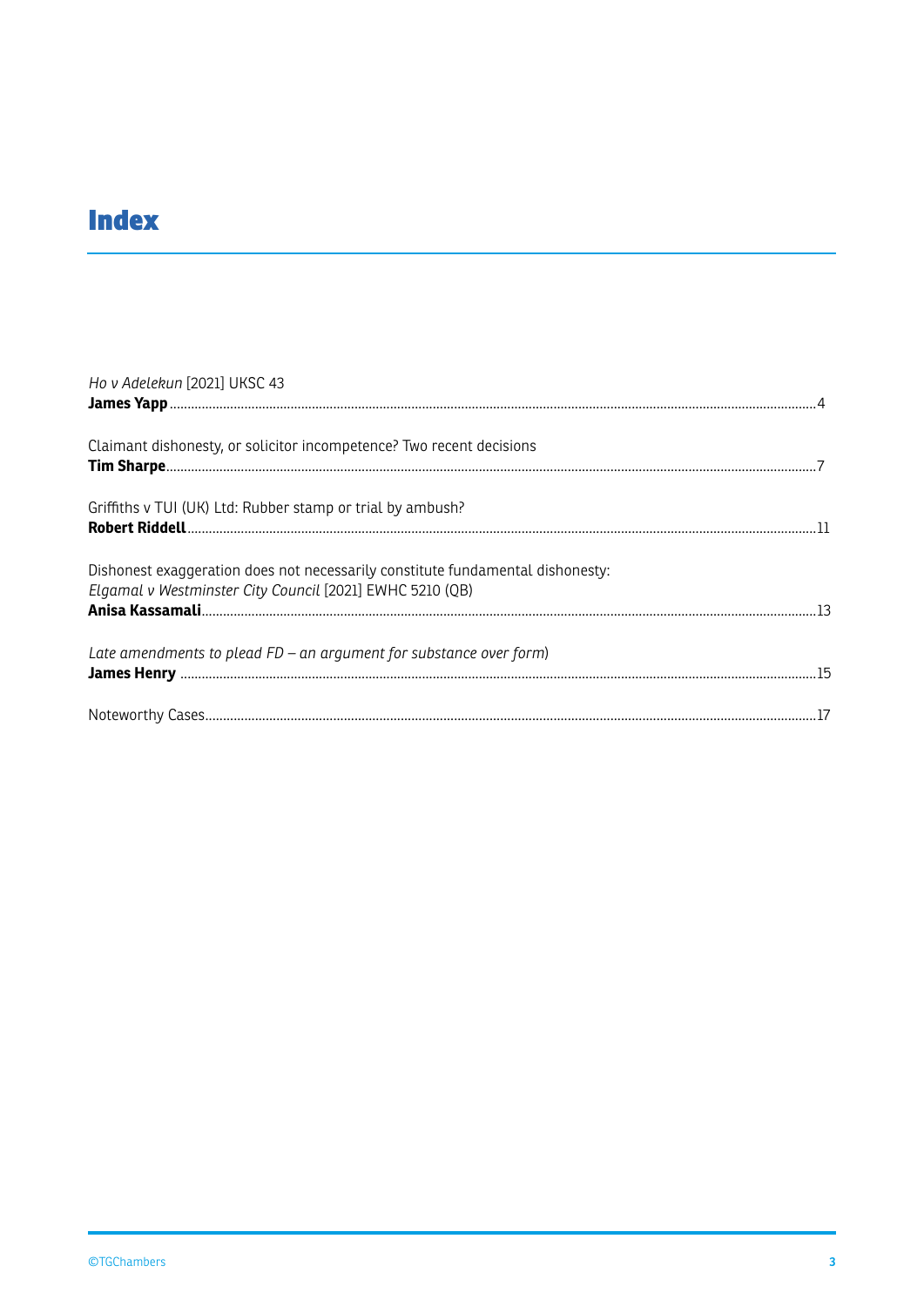## **Index**

| Ho v Adelekun [2021] UKSC 43                                                   |  |
|--------------------------------------------------------------------------------|--|
|                                                                                |  |
| Claimant dishonesty, or solicitor incompetence? Two recent decisions           |  |
|                                                                                |  |
| Griffiths v TUI (UK) Ltd: Rubber stamp or trial by ambush?                     |  |
|                                                                                |  |
| Dishonest exaggeration does not necessarily constitute fundamental dishonesty: |  |
| Elgamal v Westminster City Council [2021] EWHC 5210 (QB)                       |  |
|                                                                                |  |
| Late amendments to plead $FD - an$ argument for substance over form)           |  |
|                                                                                |  |
|                                                                                |  |
|                                                                                |  |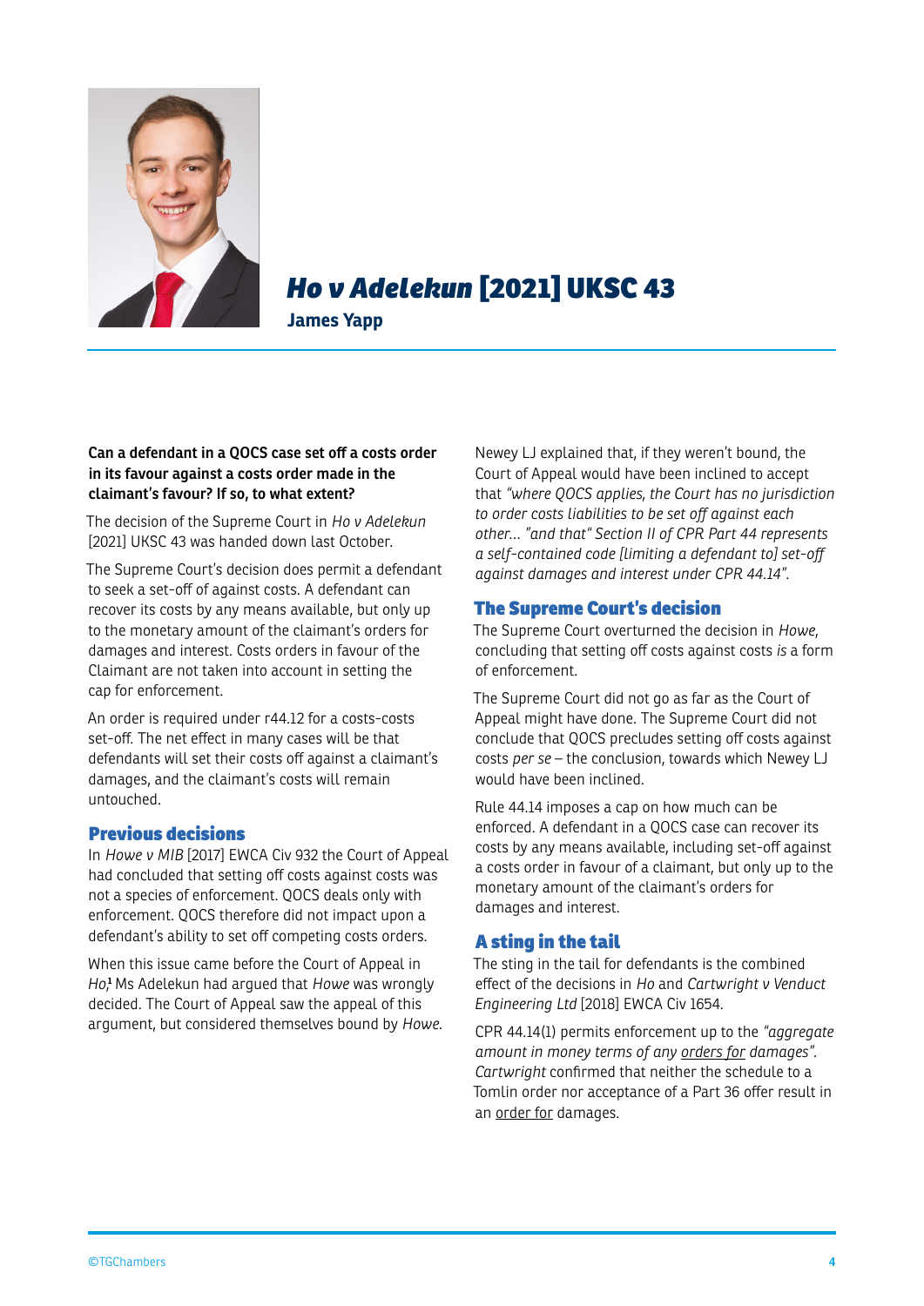<span id="page-3-0"></span>

## *Ho v Adelekun* [2021] UKSC 43

**James Yapp**

#### **Can a defendant in a QOCS case set off a costs order in its favour against a costs order made in the claimant's favour? If so, to what extent?**

The decision of the Supreme Court in *Ho v Adelekun* [2021] UKSC 43 was handed down last October.

The Supreme Court's decision does permit a defendant to seek a set-off of against costs. A defendant can recover its costs by any means available, but only up to the monetary amount of the claimant's orders for damages and interest. Costs orders in favour of the Claimant are not taken into account in setting the cap for enforcement.

An order is required under r44.12 for a costs-costs set-off. The net effect in many cases will be that defendants will set their costs off against a claimant's damages, and the claimant's costs will remain untouched.

#### Previous decisions

In *Howe v MIB* [2017] EWCA Civ 932 the Court of Appeal had concluded that setting off costs against costs was not a species of enforcement. QOCS deals only with enforcement. QOCS therefore did not impact upon a defendant's ability to set off competing costs orders.

When this issue came before the Court of Appeal in *Ho*, **1** Ms Adelekun had argued that *Howe* was wrongly decided. The Court of Appeal saw the appeal of this argument, but considered themselves bound by *Howe*.

Newey LJ explained that, if they weren't bound, the Court of Appeal would have been inclined to accept that *"where QOCS applies, the Court has no jurisdiction to order costs liabilities to be set off against each other… "and that" Section II of CPR Part 44 represents a self-contained code [limiting a defendant to] set-off against damages and interest under CPR 44.14"*.

#### The Supreme Court's decision

The Supreme Court overturned the decision in *Howe*, concluding that setting off costs against costs *is* a form of enforcement.

The Supreme Court did not go as far as the Court of Appeal might have done. The Supreme Court did not conclude that QOCS precludes setting off costs against costs *per se* – the conclusion, towards which Newey LJ would have been inclined.

Rule 44.14 imposes a cap on how much can be enforced. A defendant in a QOCS case can recover its costs by any means available, including set-off against a costs order in favour of a claimant, but only up to the monetary amount of the claimant's orders for damages and interest.

#### A sting in the tail

The sting in the tail for defendants is the combined effect of the decisions in *Ho* and *Cartwright v Venduct Engineering Ltd* [2018] EWCA Civ 1654.

CPR 44.14(1) permits enforcement up to the *"aggregate amount in money terms of any orders for damages". Cartwright* confirmed that neither the schedule to a Tomlin order nor acceptance of a Part 36 offer result in an order for damages.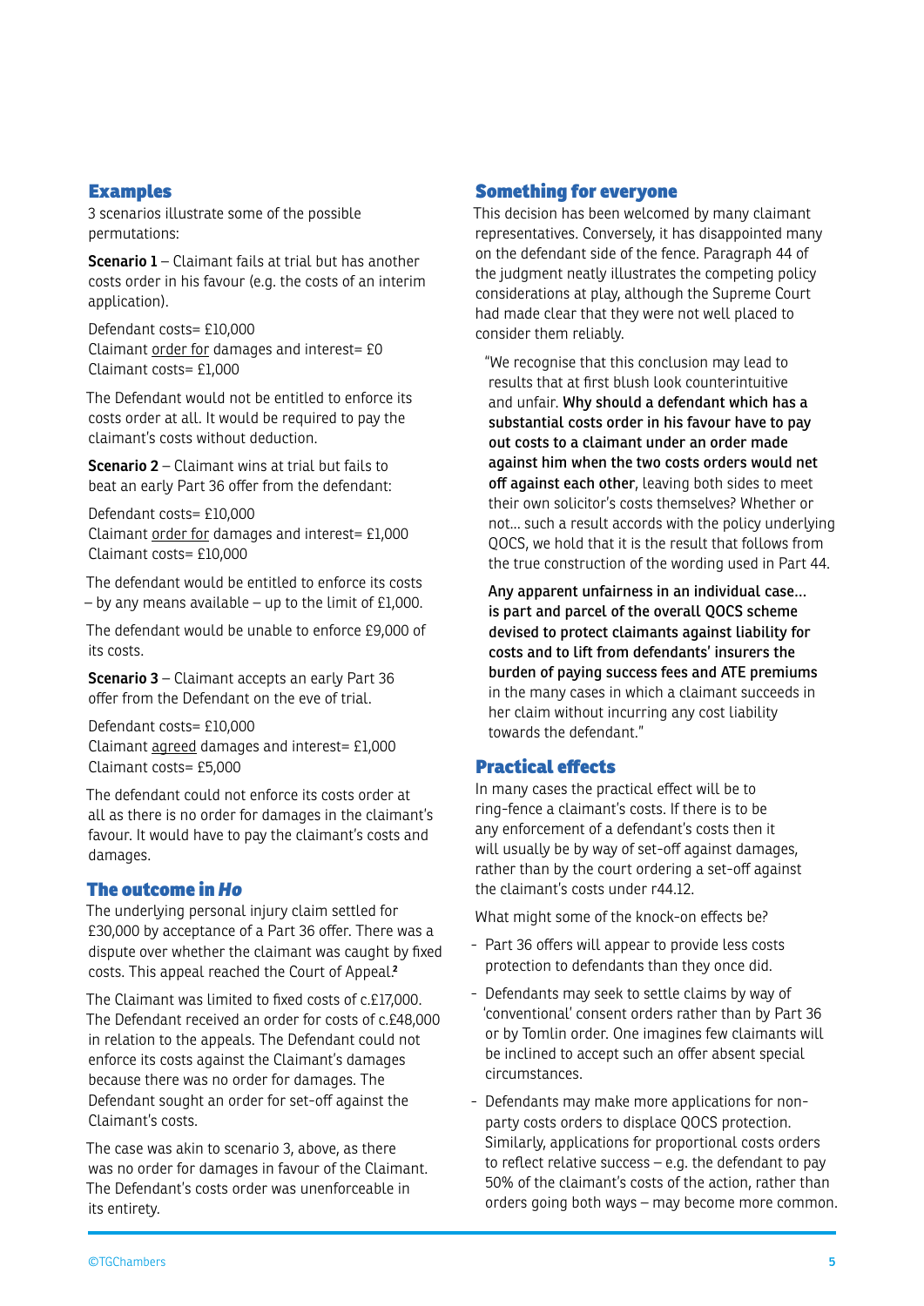#### Examples

3 scenarios illustrate some of the possible permutations:

**Scenario 1** – Claimant fails at trial but has another costs order in his favour (e.g. the costs of an interim application).

Defendant costs= £10,000 Claimant order for damages and interest= £0 Claimant costs= £1,000

The Defendant would not be entitled to enforce its costs order at all. It would be required to pay the claimant's costs without deduction.

**Scenario 2** – Claimant wins at trial but fails to beat an early Part 36 offer from the defendant:

Defendant costs= £10,000 Claimant order for damages and interest= £1,000 Claimant costs= £10,000

The defendant would be entitled to enforce its costs – by any means available – up to the limit of £1,000.

The defendant would be unable to enforce £9,000 of its costs.

**Scenario 3** – Claimant accepts an early Part 36 offer from the Defendant on the eve of trial.

Defendant costs= £10,000

Claimant agreed damages and interest= £1,000 Claimant costs= £5,000

The defendant could not enforce its costs order at all as there is no order for damages in the claimant's favour. It would have to pay the claimant's costs and damages.

#### The outcome in *Ho*

The underlying personal injury claim settled for £30,000 by acceptance of a Part 36 offer. There was a dispute over whether the claimant was caught by fixed costs. This appeal reached the Court of Appeal.**<sup>2</sup>**

The Claimant was limited to fixed costs of c.£17,000. The Defendant received an order for costs of c.£48,000 in relation to the appeals. The Defendant could not enforce its costs against the Claimant's damages because there was no order for damages. The Defendant sought an order for set-off against the Claimant's costs.

The case was akin to scenario 3, above, as there was no order for damages in favour of the Claimant. The Defendant's costs order was unenforceable in its entirety.

#### Something for everyone

This decision has been welcomed by many claimant representatives. Conversely, it has disappointed many on the defendant side of the fence. Paragraph 44 of the judgment neatly illustrates the competing policy considerations at play, although the Supreme Court had made clear that they were not well placed to consider them reliably.

"We recognise that this conclusion may lead to results that at first blush look counterintuitive and unfair. Why should a defendant which has a substantial costs order in his favour have to pay out costs to a claimant under an order made against him when the two costs orders would net off against each other, leaving both sides to meet their own solicitor's costs themselves? Whether or not... such a result accords with the policy underlying QOCS, we hold that it is the result that follows from the true construction of the wording used in Part 44.

Any apparent unfairness in an individual case… is part and parcel of the overall QOCS scheme devised to protect claimants against liability for costs and to lift from defendants' insurers the burden of paying success fees and ATE premiums in the many cases in which a claimant succeeds in her claim without incurring any cost liability towards the defendant."

#### Practical effects

In many cases the practical effect will be to ring-fence a claimant's costs. If there is to be any enforcement of a defendant's costs then it will usually be by way of set-off against damages, rather than by the court ordering a set-off against the claimant's costs under r44.12.

What might some of the knock-on effects be?

- Part 36 offers will appear to provide less costs protection to defendants than they once did.
- Defendants may seek to settle claims by way of 'conventional' consent orders rather than by Part 36 or by Tomlin order. One imagines few claimants will be inclined to accept such an offer absent special circumstances.
- Defendants may make more applications for nonparty costs orders to displace QOCS protection. Similarly, applications for proportional costs orders to reflect relative success – e.g. the defendant to pay 50% of the claimant's costs of the action, rather than orders going both ways – may become more common.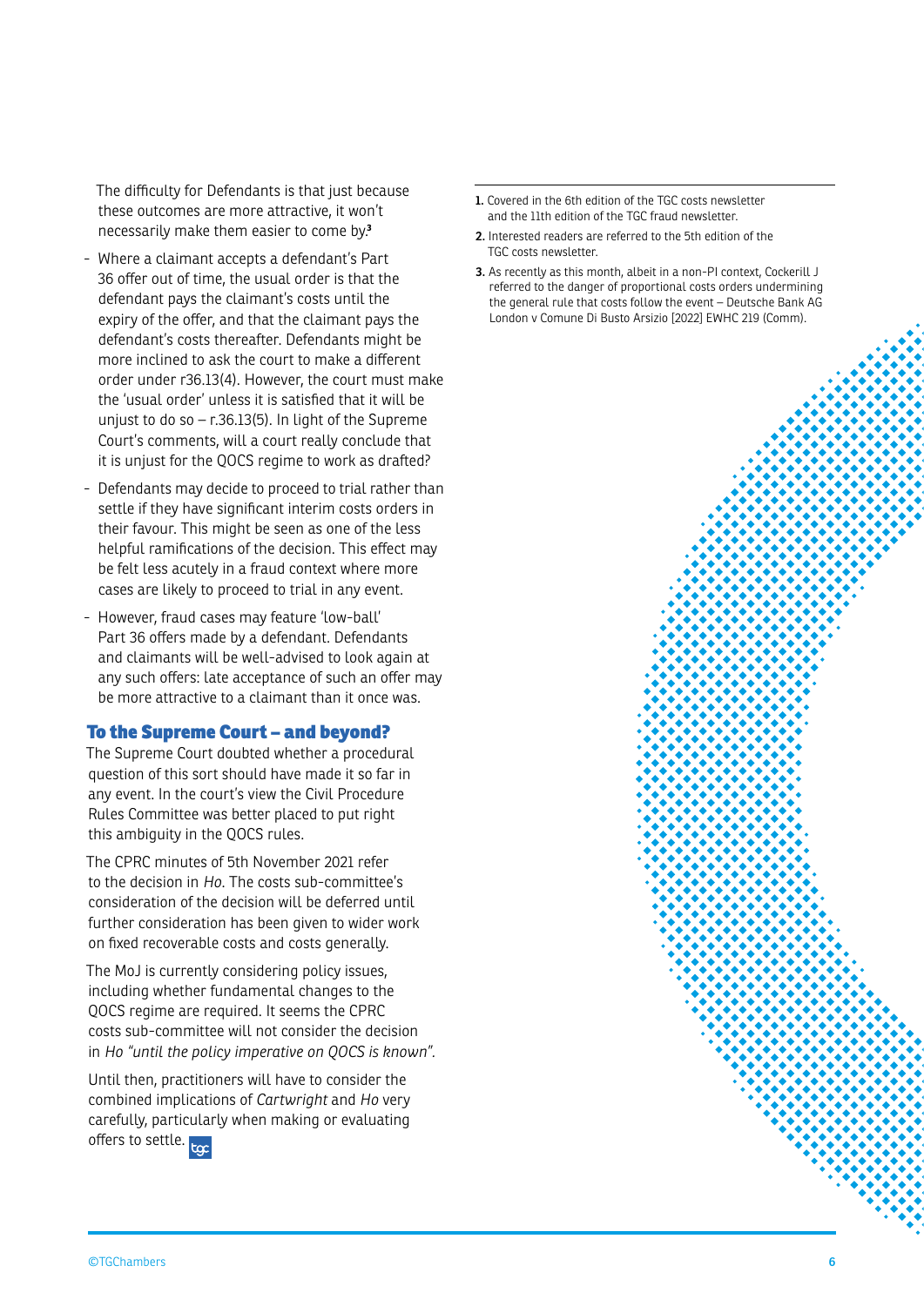The difficulty for Defendants is that just because these outcomes are more attractive, it won't necessarily make them easier to come by.**<sup>3</sup>**

- Where a claimant accepts a defendant's Part 36 offer out of time, the usual order is that the defendant pays the claimant's costs until the expiry of the offer, and that the claimant pays the defendant's costs thereafter. Defendants might be more inclined to ask the court to make a different order under r36.13(4). However, the court must make the 'usual order' unless it is satisfied that it will be unjust to do so – r.36.13(5). In light of the Supreme Court's comments, will a court really conclude that it is unjust for the QOCS regime to work as drafted?
- Defendants may decide to proceed to trial rather than settle if they have significant interim costs orders in their favour. This might be seen as one of the less helpful ramifications of the decision. This effect may be felt less acutely in a fraud context where more cases are likely to proceed to trial in any event.
- However, fraud cases may feature 'low-ball' Part 36 offers made by a defendant. Defendants and claimants will be well-advised to look again at any such offers: late acceptance of such an offer may be more attractive to a claimant than it once was.

#### To the Supreme Court – and beyond?

The Supreme Court doubted whether a procedural question of this sort should have made it so far in any event. In the court's view the Civil Procedure Rules Committee was better placed to put right this ambiguity in the QOCS rules.

The CPRC minutes of 5th November 2021 refer to the decision in *Ho*. The costs sub-committee's consideration of the decision will be deferred until further consideration has been given to wider work on fixed recoverable costs and costs generally.

The MoJ is currently considering policy issues, including whether fundamental changes to the QOCS regime are required. It seems the CPRC costs sub-committee will not consider the decision in *Ho "until the policy imperative on QOCS is known".*

Until then, practitioners will have to consider the combined implications of *Cartwright* and *Ho* very carefully, particularly when making or evaluating offers to settle. <sub>top</sub>

- **1.** Covered in the 6th edition of the TGC costs newsletter and the 11th edition of the TGC fraud newsletter.
- **2.** Interested readers are referred to the 5th edition of the TGC costs newsletter.
- **3.** As recently as this month, albeit in a non-PI context, Cockerill J referred to the danger of proportional costs orders undermining the general rule that costs follow the event – Deutsche Bank AG London v Comune Di Busto Arsizio [2022] EWHC 219 (Comm).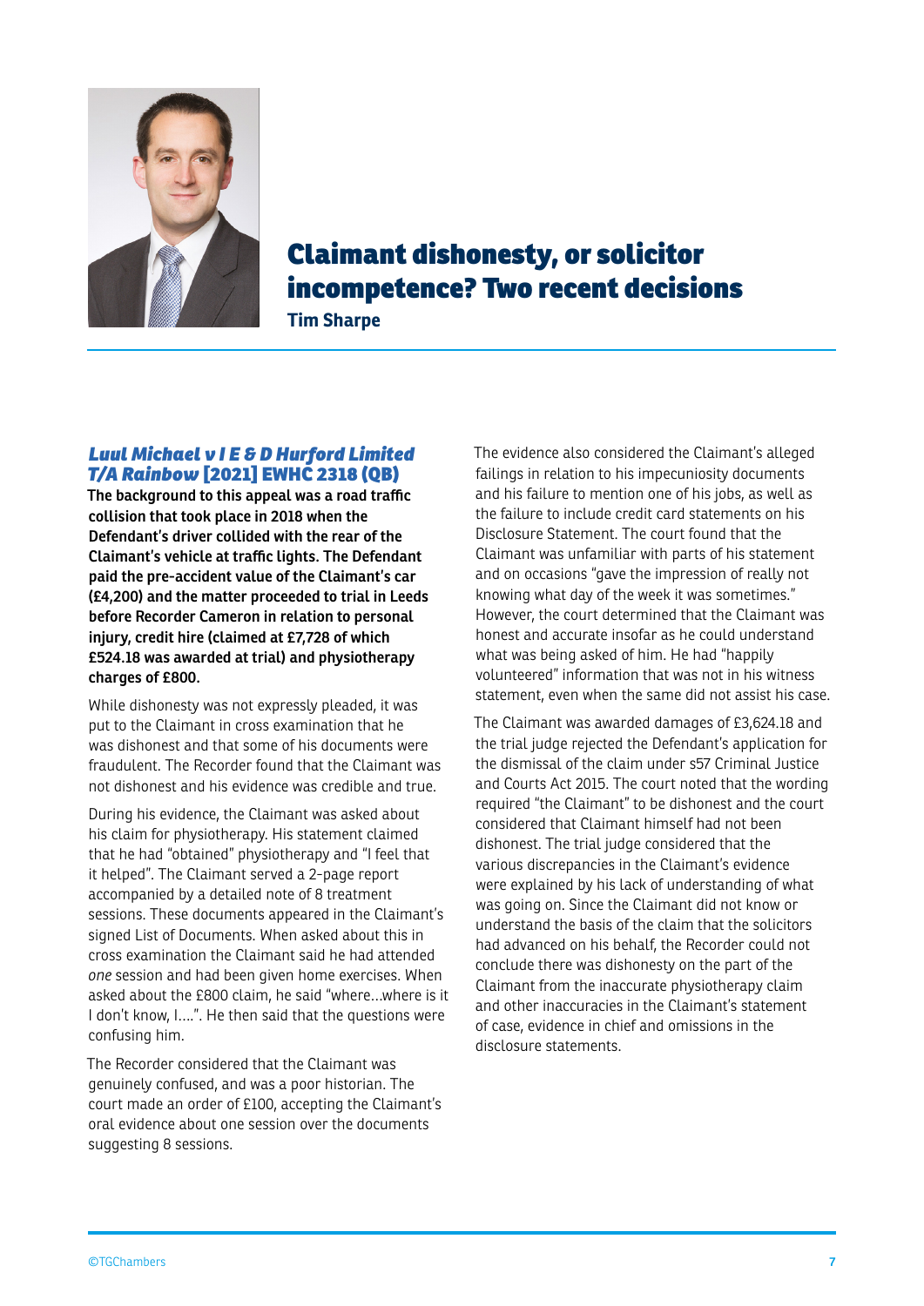<span id="page-6-0"></span>

## Claimant dishonesty, or solicitor incompetence? Two recent decisions

**Tim Sharpe**

#### *Luul Michael v I E & D Hurford Limited T/A Rainbow* [2021] EWHC 2318 (QB)

**The background to this appeal was a road traffic collision that took place in 2018 when the Defendant's driver collided with the rear of the Claimant's vehicle at traffic lights. The Defendant paid the pre-accident value of the Claimant's car (£4,200) and the matter proceeded to trial in Leeds before Recorder Cameron in relation to personal injury, credit hire (claimed at £7,728 of which £524.18 was awarded at trial) and physiotherapy charges of £800.**

While dishonesty was not expressly pleaded, it was put to the Claimant in cross examination that he was dishonest and that some of his documents were fraudulent. The Recorder found that the Claimant was not dishonest and his evidence was credible and true.

During his evidence, the Claimant was asked about his claim for physiotherapy. His statement claimed that he had "obtained" physiotherapy and "I feel that it helped". The Claimant served a 2-page report accompanied by a detailed note of 8 treatment sessions. These documents appeared in the Claimant's signed List of Documents. When asked about this in cross examination the Claimant said he had attended *one* session and had been given home exercises. When asked about the £800 claim, he said "where…where is it I don't know, I….". He then said that the questions were confusing him.

The Recorder considered that the Claimant was genuinely confused, and was a poor historian. The court made an order of £100, accepting the Claimant's oral evidence about one session over the documents suggesting 8 sessions.

The evidence also considered the Claimant's alleged failings in relation to his impecuniosity documents and his failure to mention one of his jobs, as well as the failure to include credit card statements on his Disclosure Statement. The court found that the Claimant was unfamiliar with parts of his statement and on occasions "gave the impression of really not knowing what day of the week it was sometimes." However, the court determined that the Claimant was honest and accurate insofar as he could understand what was being asked of him. He had "happily volunteered" information that was not in his witness statement, even when the same did not assist his case.

The Claimant was awarded damages of £3,624.18 and the trial judge rejected the Defendant's application for the dismissal of the claim under s57 Criminal Justice and Courts Act 2015. The court noted that the wording required "the Claimant" to be dishonest and the court considered that Claimant himself had not been dishonest. The trial judge considered that the various discrepancies in the Claimant's evidence were explained by his lack of understanding of what was going on. Since the Claimant did not know or understand the basis of the claim that the solicitors had advanced on his behalf, the Recorder could not conclude there was dishonesty on the part of the Claimant from the inaccurate physiotherapy claim and other inaccuracies in the Claimant's statement of case, evidence in chief and omissions in the disclosure statements.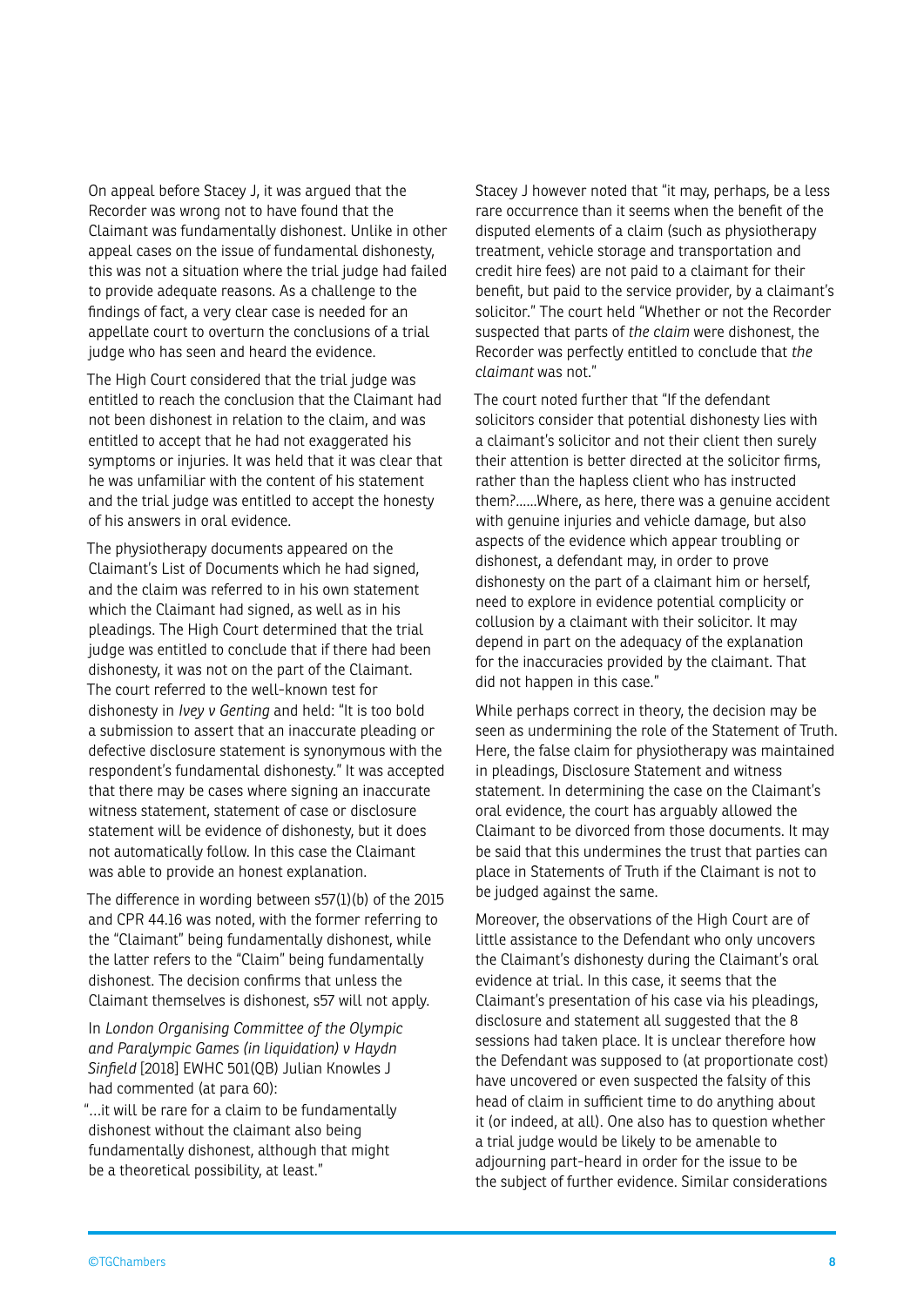On appeal before Stacey J, it was argued that the Recorder was wrong not to have found that the Claimant was fundamentally dishonest. Unlike in other appeal cases on the issue of fundamental dishonesty, this was not a situation where the trial judge had failed to provide adequate reasons. As a challenge to the findings of fact, a very clear case is needed for an appellate court to overturn the conclusions of a trial judge who has seen and heard the evidence.

The High Court considered that the trial judge was entitled to reach the conclusion that the Claimant had not been dishonest in relation to the claim, and was entitled to accept that he had not exaggerated his symptoms or injuries. It was held that it was clear that he was unfamiliar with the content of his statement and the trial judge was entitled to accept the honesty of his answers in oral evidence.

The physiotherapy documents appeared on the Claimant's List of Documents which he had signed, and the claim was referred to in his own statement which the Claimant had signed, as well as in his pleadings. The High Court determined that the trial judge was entitled to conclude that if there had been dishonesty, it was not on the part of the Claimant. The court referred to the well-known test for dishonesty in *Ivey v Genting* and held: "It is too bold a submission to assert that an inaccurate pleading or defective disclosure statement is synonymous with the respondent's fundamental dishonesty." It was accepted that there may be cases where signing an inaccurate witness statement, statement of case or disclosure statement will be evidence of dishonesty, but it does not automatically follow. In this case the Claimant was able to provide an honest explanation.

The difference in wording between s57(1)(b) of the 2015 and CPR 44.16 was noted, with the former referring to the "Claimant" being fundamentally dishonest, while the latter refers to the "Claim" being fundamentally dishonest. The decision confirms that unless the Claimant themselves is dishonest, s57 will not apply.

In *London Organising Committee of the Olympic and Paralympic Games (in liquidation) v Haydn Sinfield* [2018] EWHC 501(QB) Julian Knowles J had commented (at para 60):

"…it will be rare for a claim to be fundamentally dishonest without the claimant also being fundamentally dishonest, although that might be a theoretical possibility, at least."

Stacey J however noted that "it may, perhaps, be a less rare occurrence than it seems when the benefit of the disputed elements of a claim (such as physiotherapy treatment, vehicle storage and transportation and credit hire fees) are not paid to a claimant for their benefit, but paid to the service provider, by a claimant's solicitor." The court held "Whether or not the Recorder suspected that parts of *the claim* were dishonest, the Recorder was perfectly entitled to conclude that *the claimant* was not."

The court noted further that "If the defendant solicitors consider that potential dishonesty lies with a claimant's solicitor and not their client then surely their attention is better directed at the solicitor firms, rather than the hapless client who has instructed them?......Where, as here, there was a genuine accident with genuine injuries and vehicle damage, but also aspects of the evidence which appear troubling or dishonest, a defendant may, in order to prove dishonesty on the part of a claimant him or herself, need to explore in evidence potential complicity or collusion by a claimant with their solicitor. It may depend in part on the adequacy of the explanation for the inaccuracies provided by the claimant. That did not happen in this case."

While perhaps correct in theory, the decision may be seen as undermining the role of the Statement of Truth. Here, the false claim for physiotherapy was maintained in pleadings, Disclosure Statement and witness statement. In determining the case on the Claimant's oral evidence, the court has arguably allowed the Claimant to be divorced from those documents. It may be said that this undermines the trust that parties can place in Statements of Truth if the Claimant is not to be judged against the same.

Moreover, the observations of the High Court are of little assistance to the Defendant who only uncovers the Claimant's dishonesty during the Claimant's oral evidence at trial. In this case, it seems that the Claimant's presentation of his case via his pleadings, disclosure and statement all suggested that the 8 sessions had taken place. It is unclear therefore how the Defendant was supposed to (at proportionate cost) have uncovered or even suspected the falsity of this head of claim in sufficient time to do anything about it (or indeed, at all). One also has to question whether a trial judge would be likely to be amenable to adjourning part-heard in order for the issue to be the subject of further evidence. Similar considerations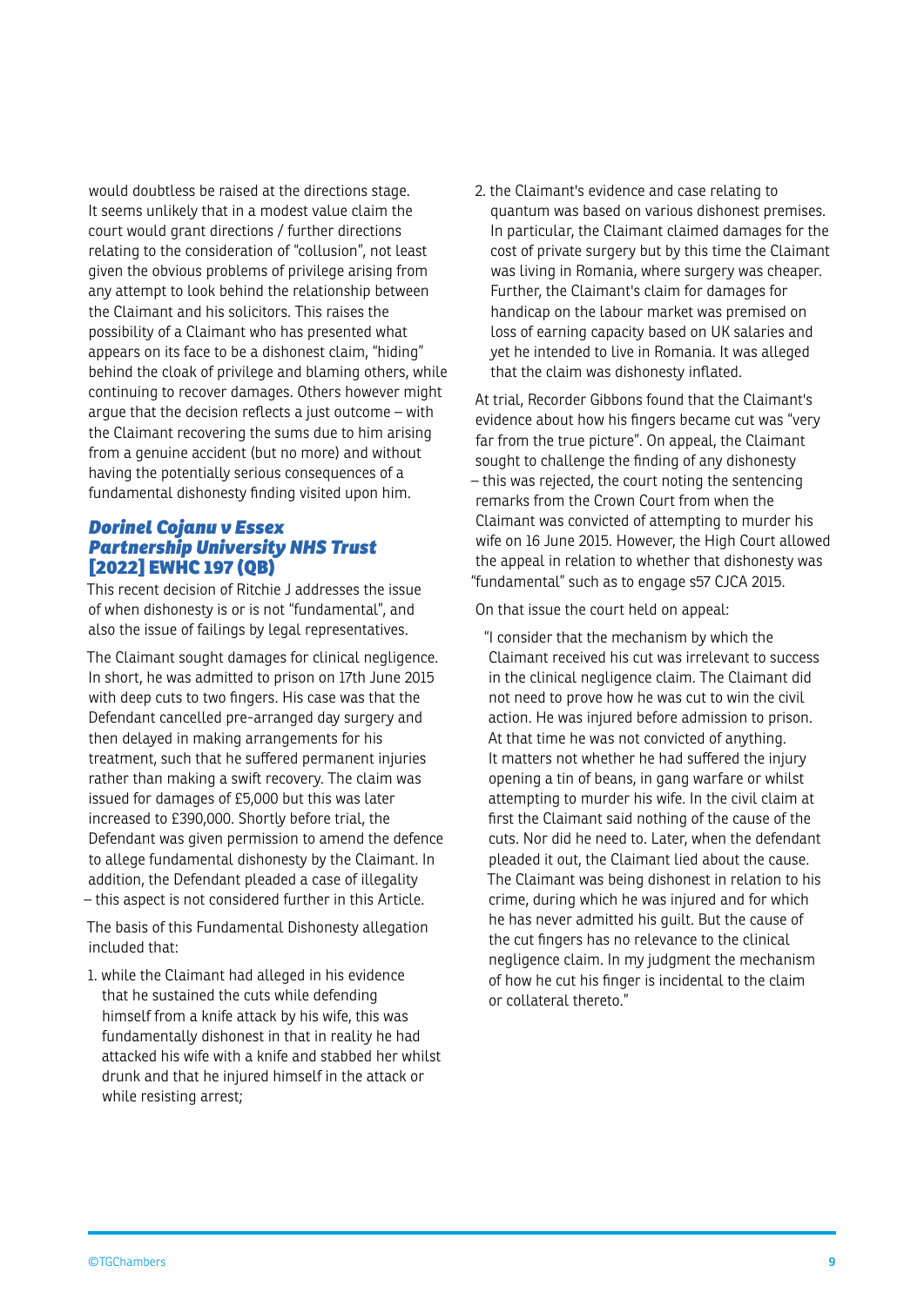would doubtless be raised at the directions stage. It seems unlikely that in a modest value claim the court would grant directions / further directions relating to the consideration of "collusion", not least given the obvious problems of privilege arising from any attempt to look behind the relationship between the Claimant and his solicitors. This raises the possibility of a Claimant who has presented what appears on its face to be a dishonest claim, "hiding" behind the cloak of privilege and blaming others, while continuing to recover damages. Others however might argue that the decision reflects a just outcome – with the Claimant recovering the sums due to him arising from a genuine accident (but no more) and without having the potentially serious consequences of a fundamental dishonesty finding visited upon him.

#### *Dorinel Cojanu v Essex Partnership University NHS Trust*  [2022] EWHC 197 (QB)

This recent decision of Ritchie J addresses the issue of when dishonesty is or is not "fundamental", and also the issue of failings by legal representatives.

The Claimant sought damages for clinical negligence. In short, he was admitted to prison on 17th June 2015 with deep cuts to two fingers. His case was that the Defendant cancelled pre-arranged day surgery and then delayed in making arrangements for his treatment, such that he suffered permanent injuries rather than making a swift recovery. The claim was issued for damages of £5,000 but this was later increased to £390,000. Shortly before trial, the Defendant was given permission to amend the defence to allege fundamental dishonesty by the Claimant. In addition, the Defendant pleaded a case of illegality – this aspect is not considered further in this Article.

The basis of this Fundamental Dishonesty allegation included that:

1. while the Claimant had alleged in his evidence that he sustained the cuts while defending himself from a knife attack by his wife, this was fundamentally dishonest in that in reality he had attacked his wife with a knife and stabbed her whilst drunk and that he injured himself in the attack or while resisting arrest;

2. the Claimant's evidence and case relating to quantum was based on various dishonest premises. In particular, the Claimant claimed damages for the cost of private surgery but by this time the Claimant was living in Romania, where surgery was cheaper. Further, the Claimant's claim for damages for handicap on the labour market was premised on loss of earning capacity based on UK salaries and yet he intended to live in Romania. It was alleged that the claim was dishonesty inflated.

At trial, Recorder Gibbons found that the Claimant's evidence about how his fingers became cut was "very far from the true picture". On appeal, the Claimant sought to challenge the finding of any dishonesty – this was rejected, the court noting the sentencing remarks from the Crown Court from when the Claimant was convicted of attempting to murder his wife on 16 June 2015. However, the High Court allowed the appeal in relation to whether that dishonesty was "fundamental" such as to engage s57 CJCA 2015.

On that issue the court held on appeal:

"I consider that the mechanism by which the Claimant received his cut was irrelevant to success in the clinical negligence claim. The Claimant did not need to prove how he was cut to win the civil action. He was injured before admission to prison. At that time he was not convicted of anything. It matters not whether he had suffered the injury opening a tin of beans, in gang warfare or whilst attempting to murder his wife. In the civil claim at first the Claimant said nothing of the cause of the cuts. Nor did he need to. Later, when the defendant pleaded it out, the Claimant lied about the cause. The Claimant was being dishonest in relation to his crime, during which he was injured and for which he has never admitted his guilt. But the cause of the cut fingers has no relevance to the clinical negligence claim. In my judgment the mechanism of how he cut his finger is incidental to the claim or collateral thereto."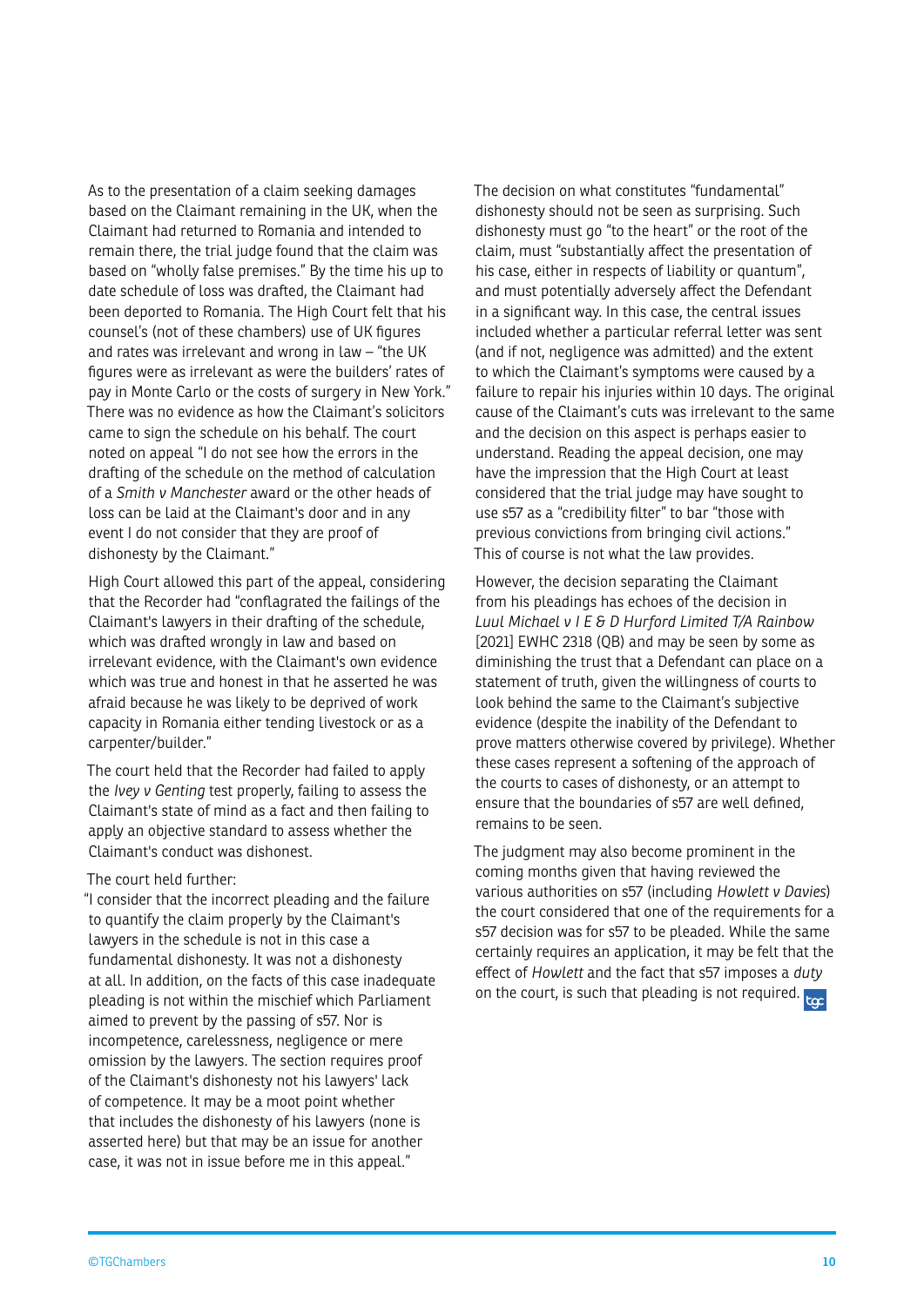As to the presentation of a claim seeking damages based on the Claimant remaining in the UK, when the Claimant had returned to Romania and intended to remain there, the trial judge found that the claim was based on "wholly false premises." By the time his up to date schedule of loss was drafted, the Claimant had been deported to Romania. The High Court felt that his counsel's (not of these chambers) use of UK figures and rates was irrelevant and wrong in law – "the UK figures were as irrelevant as were the builders' rates of pay in Monte Carlo or the costs of surgery in New York." There was no evidence as how the Claimant's solicitors came to sign the schedule on his behalf. The court noted on appeal "I do not see how the errors in the drafting of the schedule on the method of calculation of a *Smith v Manchester* award or the other heads of loss can be laid at the Claimant's door and in any event I do not consider that they are proof of dishonesty by the Claimant."

High Court allowed this part of the appeal, considering that the Recorder had "conflagrated the failings of the Claimant's lawyers in their drafting of the schedule, which was drafted wrongly in law and based on irrelevant evidence, with the Claimant's own evidence which was true and honest in that he asserted he was afraid because he was likely to be deprived of work capacity in Romania either tending livestock or as a carpenter/builder."

The court held that the Recorder had failed to apply the *Ivey v Genting* test properly, failing to assess the Claimant's state of mind as a fact and then failing to apply an objective standard to assess whether the Claimant's conduct was dishonest.

#### The court held further:

"I consider that the incorrect pleading and the failure to quantify the claim properly by the Claimant's lawyers in the schedule is not in this case a fundamental dishonesty. It was not a dishonesty at all. In addition, on the facts of this case inadequate pleading is not within the mischief which Parliament aimed to prevent by the passing of s57. Nor is incompetence, carelessness, negligence or mere omission by the lawyers. The section requires proof of the Claimant's dishonesty not his lawyers' lack of competence. It may be a moot point whether that includes the dishonesty of his lawyers (none is asserted here) but that may be an issue for another case, it was not in issue before me in this appeal."

The decision on what constitutes "fundamental" dishonesty should not be seen as surprising. Such dishonesty must go "to the heart" or the root of the claim, must "substantially affect the presentation of his case, either in respects of liability or quantum", and must potentially adversely affect the Defendant in a significant way. In this case, the central issues included whether a particular referral letter was sent (and if not, negligence was admitted) and the extent to which the Claimant's symptoms were caused by a failure to repair his injuries within 10 days. The original cause of the Claimant's cuts was irrelevant to the same and the decision on this aspect is perhaps easier to understand. Reading the appeal decision, one may have the impression that the High Court at least considered that the trial judge may have sought to use s57 as a "credibility filter" to bar "those with previous convictions from bringing civil actions." This of course is not what the law provides.

However, the decision separating the Claimant from his pleadings has echoes of the decision in *Luul Michael v I E & D Hurford Limited T/A Rainbow*  [2021] EWHC 2318 (QB) and may be seen by some as diminishing the trust that a Defendant can place on a statement of truth, given the willingness of courts to look behind the same to the Claimant's subjective evidence (despite the inability of the Defendant to prove matters otherwise covered by privilege). Whether these cases represent a softening of the approach of the courts to cases of dishonesty, or an attempt to ensure that the boundaries of s57 are well defined, remains to be seen.

The judgment may also become prominent in the coming months given that having reviewed the various authorities on s57 (including *Howlett v Davies*) the court considered that one of the requirements for a s57 decision was for s57 to be pleaded. While the same certainly requires an application, it may be felt that the effect of *Howlett* and the fact that s57 imposes a *duty* on the court, is such that pleading is not required. <sub>too</sub>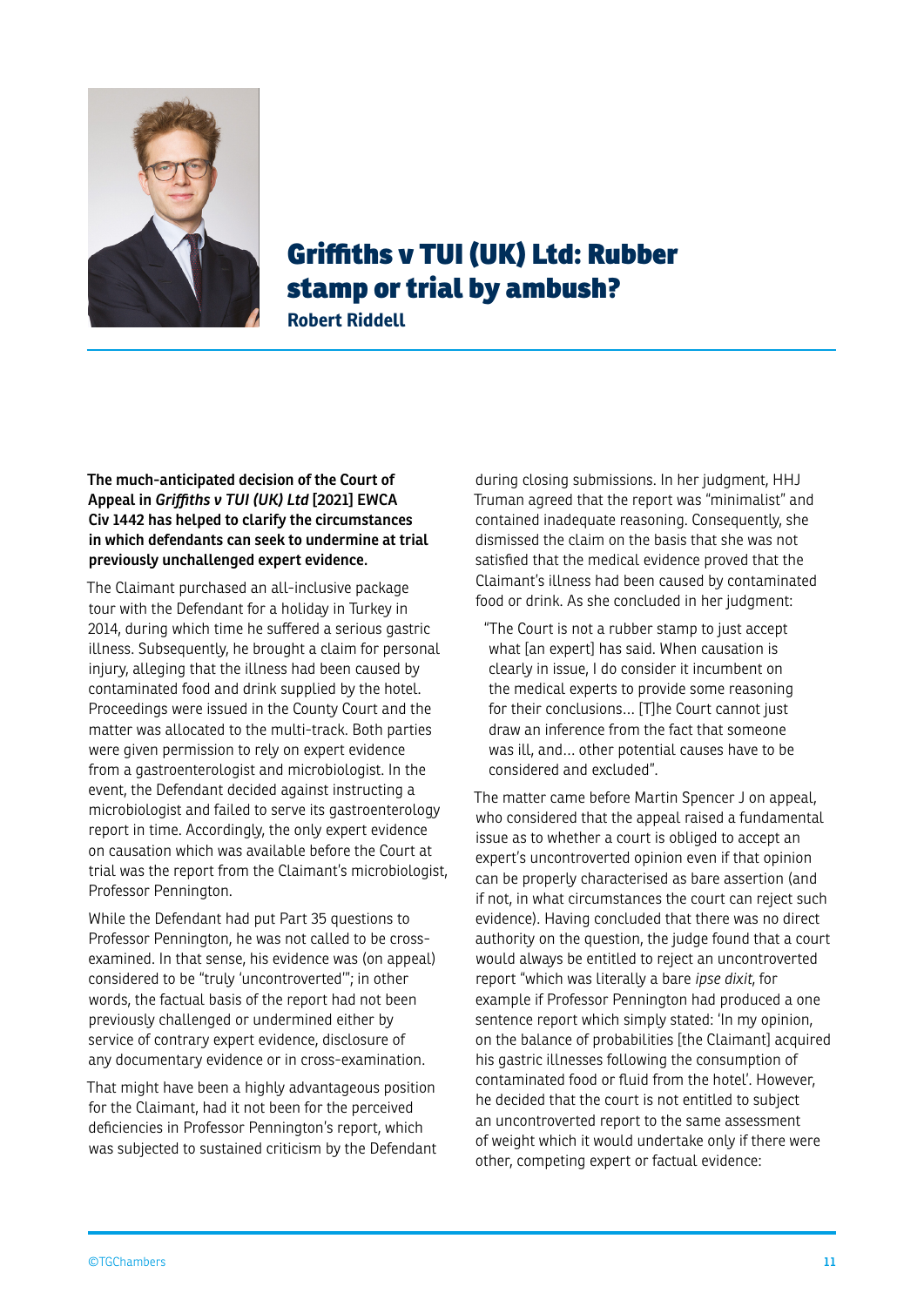<span id="page-10-0"></span>

## Griffiths v TUI (UK) Ltd: Rubber stamp or trial by ambush?

**Robert Riddell**

#### **The much-anticipated decision of the Court of Appeal in** *Griffiths v TUI (UK) Ltd* **[2021] EWCA Civ 1442 has helped to clarify the circumstances in which defendants can seek to undermine at trial previously unchallenged expert evidence.**

The Claimant purchased an all-inclusive package tour with the Defendant for a holiday in Turkey in 2014, during which time he suffered a serious gastric illness. Subsequently, he brought a claim for personal injury, alleging that the illness had been caused by contaminated food and drink supplied by the hotel. Proceedings were issued in the County Court and the matter was allocated to the multi-track. Both parties were given permission to rely on expert evidence from a gastroenterologist and microbiologist. In the event, the Defendant decided against instructing a microbiologist and failed to serve its gastroenterology report in time. Accordingly, the only expert evidence on causation which was available before the Court at trial was the report from the Claimant's microbiologist, Professor Pennington.

While the Defendant had put Part 35 questions to Professor Pennington, he was not called to be crossexamined. In that sense, his evidence was (on appeal) considered to be "truly 'uncontroverted'"; in other words, the factual basis of the report had not been previously challenged or undermined either by service of contrary expert evidence, disclosure of any documentary evidence or in cross-examination.

That might have been a highly advantageous position for the Claimant, had it not been for the perceived deficiencies in Professor Pennington's report, which was subjected to sustained criticism by the Defendant during closing submissions. In her judgment, HHJ Truman agreed that the report was "minimalist" and contained inadequate reasoning. Consequently, she dismissed the claim on the basis that she was not satisfied that the medical evidence proved that the Claimant's illness had been caused by contaminated food or drink. As she concluded in her judgment:

"The Court is not a rubber stamp to just accept what [an expert] has said. When causation is clearly in issue, I do consider it incumbent on the medical experts to provide some reasoning for their conclusions… [T]he Court cannot just draw an inference from the fact that someone was ill, and… other potential causes have to be considered and excluded".

The matter came before Martin Spencer J on appeal, who considered that the appeal raised a fundamental issue as to whether a court is obliged to accept an expert's uncontroverted opinion even if that opinion can be properly characterised as bare assertion (and if not, in what circumstances the court can reject such evidence). Having concluded that there was no direct authority on the question, the judge found that a court would always be entitled to reject an uncontroverted report "which was literally a bare *ipse dixit*, for example if Professor Pennington had produced a one sentence report which simply stated: 'In my opinion, on the balance of probabilities [the Claimant] acquired his gastric illnesses following the consumption of contaminated food or fluid from the hotel'. However, he decided that the court is not entitled to subject an uncontroverted report to the same assessment of weight which it would undertake only if there were other, competing expert or factual evidence: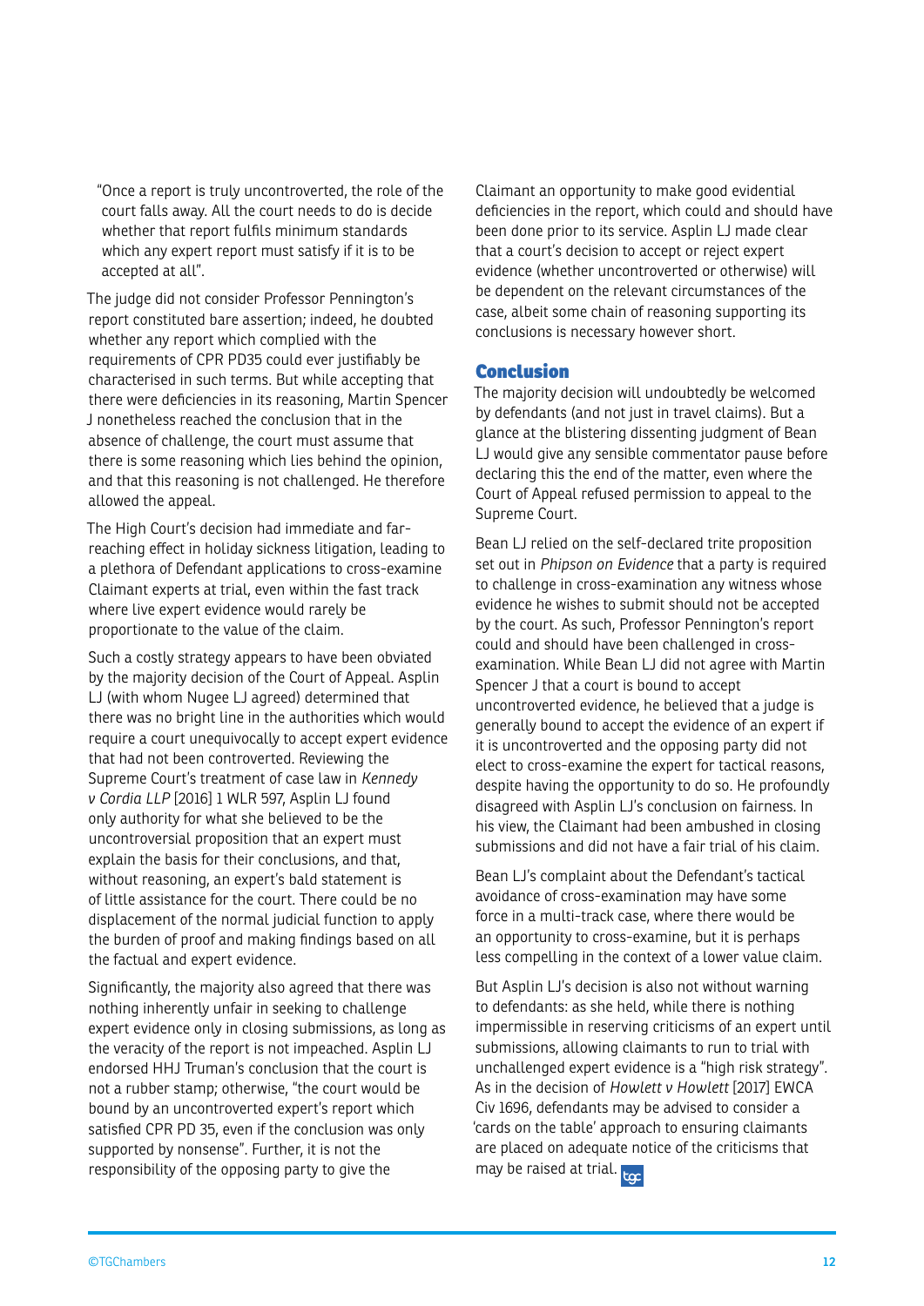"Once a report is truly uncontroverted, the role of the court falls away. All the court needs to do is decide whether that report fulfils minimum standards which any expert report must satisfy if it is to be accepted at all".

The judge did not consider Professor Pennington's report constituted bare assertion; indeed, he doubted whether any report which complied with the requirements of CPR PD35 could ever justifiably be characterised in such terms. But while accepting that there were deficiencies in its reasoning, Martin Spencer J nonetheless reached the conclusion that in the absence of challenge, the court must assume that there is some reasoning which lies behind the opinion, and that this reasoning is not challenged. He therefore allowed the appeal.

The High Court's decision had immediate and farreaching effect in holiday sickness litigation, leading to a plethora of Defendant applications to cross-examine Claimant experts at trial, even within the fast track where live expert evidence would rarely be proportionate to the value of the claim.

Such a costly strategy appears to have been obviated by the majority decision of the Court of Appeal. Asplin LJ (with whom Nugee LJ agreed) determined that there was no bright line in the authorities which would require a court unequivocally to accept expert evidence that had not been controverted. Reviewing the Supreme Court's treatment of case law in *Kennedy v Cordia LLP* [2016] 1 WLR 597, Asplin LJ found only authority for what she believed to be the uncontroversial proposition that an expert must explain the basis for their conclusions, and that, without reasoning, an expert's bald statement is of little assistance for the court. There could be no displacement of the normal judicial function to apply the burden of proof and making findings based on all the factual and expert evidence.

Significantly, the majority also agreed that there was nothing inherently unfair in seeking to challenge expert evidence only in closing submissions, as long as the veracity of the report is not impeached. Asplin LJ endorsed HHJ Truman's conclusion that the court is not a rubber stamp; otherwise, "the court would be bound by an uncontroverted expert's report which satisfied CPR PD 35, even if the conclusion was only supported by nonsense". Further, it is not the responsibility of the opposing party to give the

Claimant an opportunity to make good evidential deficiencies in the report, which could and should have been done prior to its service. Asplin LJ made clear that a court's decision to accept or reject expert evidence (whether uncontroverted or otherwise) will be dependent on the relevant circumstances of the case, albeit some chain of reasoning supporting its conclusions is necessary however short.

#### Conclusion

The majority decision will undoubtedly be welcomed by defendants (and not just in travel claims). But a glance at the blistering dissenting judgment of Bean LJ would give any sensible commentator pause before declaring this the end of the matter, even where the Court of Appeal refused permission to appeal to the Supreme Court.

Bean LJ relied on the self-declared trite proposition set out in *Phipson on Evidence* that a party is required to challenge in cross-examination any witness whose evidence he wishes to submit should not be accepted by the court. As such, Professor Pennington's report could and should have been challenged in crossexamination. While Bean LJ did not agree with Martin Spencer J that a court is bound to accept uncontroverted evidence, he believed that a judge is generally bound to accept the evidence of an expert if it is uncontroverted and the opposing party did not elect to cross-examine the expert for tactical reasons, despite having the opportunity to do so. He profoundly disagreed with Asplin LJ's conclusion on fairness. In his view, the Claimant had been ambushed in closing submissions and did not have a fair trial of his claim.

Bean LJ's complaint about the Defendant's tactical avoidance of cross-examination may have some force in a multi-track case, where there would be an opportunity to cross-examine, but it is perhaps less compelling in the context of a lower value claim.

But Asplin LJ's decision is also not without warning to defendants: as she held, while there is nothing impermissible in reserving criticisms of an expert until submissions, allowing claimants to run to trial with unchallenged expert evidence is a "high risk strategy". As in the decision of *Howlett v Howlett* [2017] EWCA Civ 1696, defendants may be advised to consider a 'cards on the table' approach to ensuring claimants are placed on adequate notice of the criticisms that may be raised at trial. too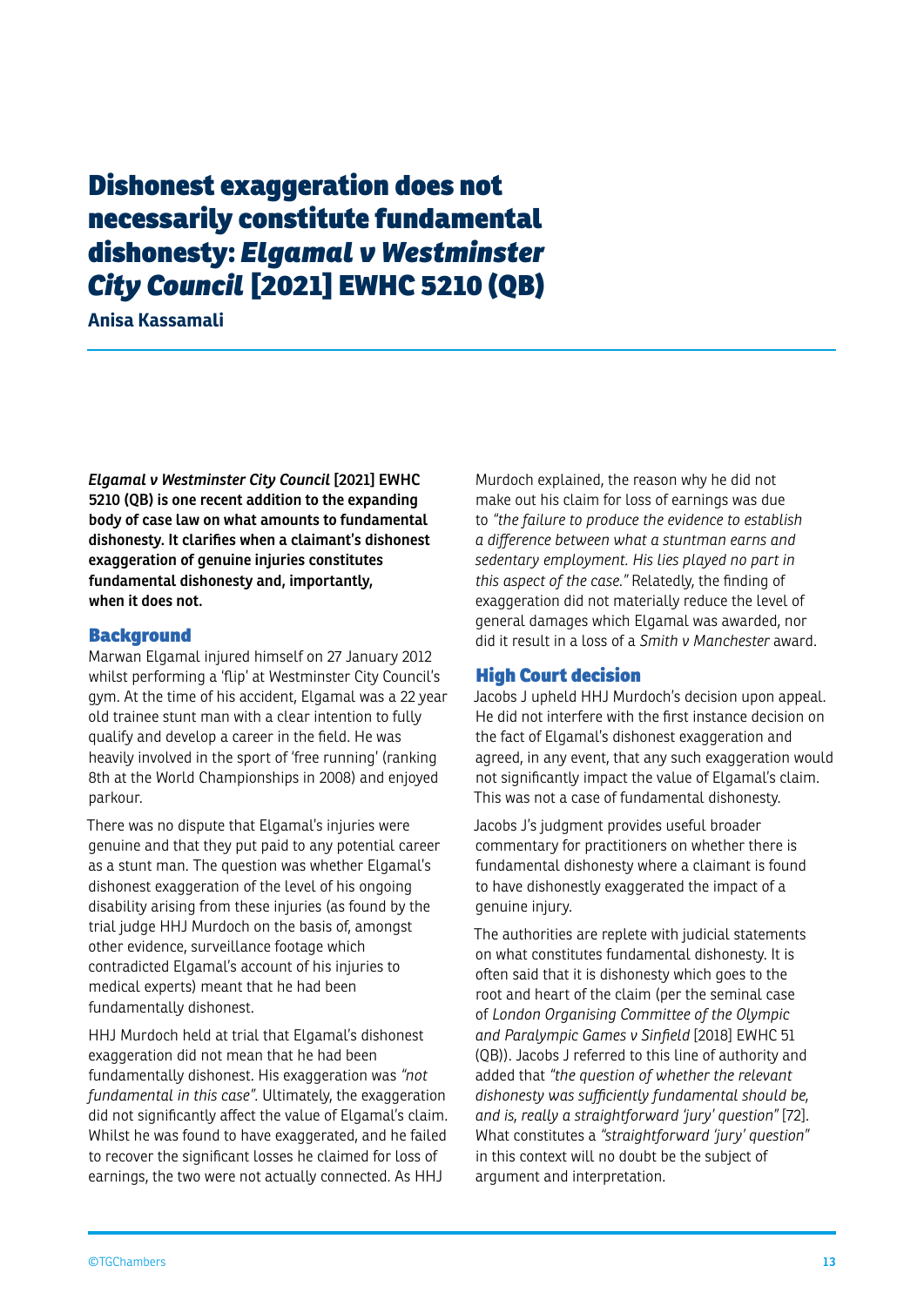## <span id="page-12-0"></span>Dishonest exaggeration does not necessarily constitute fundamental dishonesty: *Elgamal v Westminster City Council* [2021] EWHC 5210 (QB)

**Anisa Kassamali**

*Elgamal v Westminster City Council* **[2021] EWHC 5210 (QB) is one recent addition to the expanding body of case law on what amounts to fundamental dishonesty. It clarifies when a claimant's dishonest exaggeration of genuine injuries constitutes fundamental dishonesty and, importantly, when it does not.** 

#### **Background**

Marwan Elgamal injured himself on 27 January 2012 whilst performing a 'flip' at Westminster City Council's gym. At the time of his accident, Elgamal was a 22 year old trainee stunt man with a clear intention to fully qualify and develop a career in the field. He was heavily involved in the sport of 'free running' (ranking 8th at the World Championships in 2008) and enjoyed parkour.

There was no dispute that Elgamal's injuries were genuine and that they put paid to any potential career as a stunt man. The question was whether Elgamal's dishonest exaggeration of the level of his ongoing disability arising from these injuries (as found by the trial judge HHJ Murdoch on the basis of, amongst other evidence, surveillance footage which contradicted Elgamal's account of his injuries to medical experts) meant that he had been fundamentally dishonest.

HHJ Murdoch held at trial that Elgamal's dishonest exaggeration did not mean that he had been fundamentally dishonest. His exaggeration was *"not fundamental in this case"*. Ultimately, the exaggeration did not significantly affect the value of Elgamal's claim. Whilst he was found to have exaggerated, and he failed to recover the significant losses he claimed for loss of earnings, the two were not actually connected. As HHJ

Murdoch explained, the reason why he did not make out his claim for loss of earnings was due to *"the failure to produce the evidence to establish a difference between what a stuntman earns and sedentary employment. His lies played no part in this aspect of the case."* Relatedly, the finding of exaggeration did not materially reduce the level of general damages which Elgamal was awarded, nor did it result in a loss of a *Smith v Manchester* award.

#### High Court decision

Jacobs J upheld HHJ Murdoch's decision upon appeal. He did not interfere with the first instance decision on the fact of Elgamal's dishonest exaggeration and agreed, in any event, that any such exaggeration would not significantly impact the value of Elgamal's claim. This was not a case of fundamental dishonesty.

Jacobs J's judgment provides useful broader commentary for practitioners on whether there is fundamental dishonesty where a claimant is found to have dishonestly exaggerated the impact of a genuine injury.

The authorities are replete with judicial statements on what constitutes fundamental dishonesty. It is often said that it is dishonesty which goes to the root and heart of the claim (per the seminal case of *London Organising Committee of the Olympic and Paralympic Games v Sinfield* [2018] EWHC 51 (QB)). Jacobs J referred to this line of authority and added that *"the question of whether the relevant dishonesty was sufficiently fundamental should be, and is, really a straightforward 'jury' question"* [72]. What constitutes a *"straightforward 'jury' question"*  in this context will no doubt be the subject of argument and interpretation.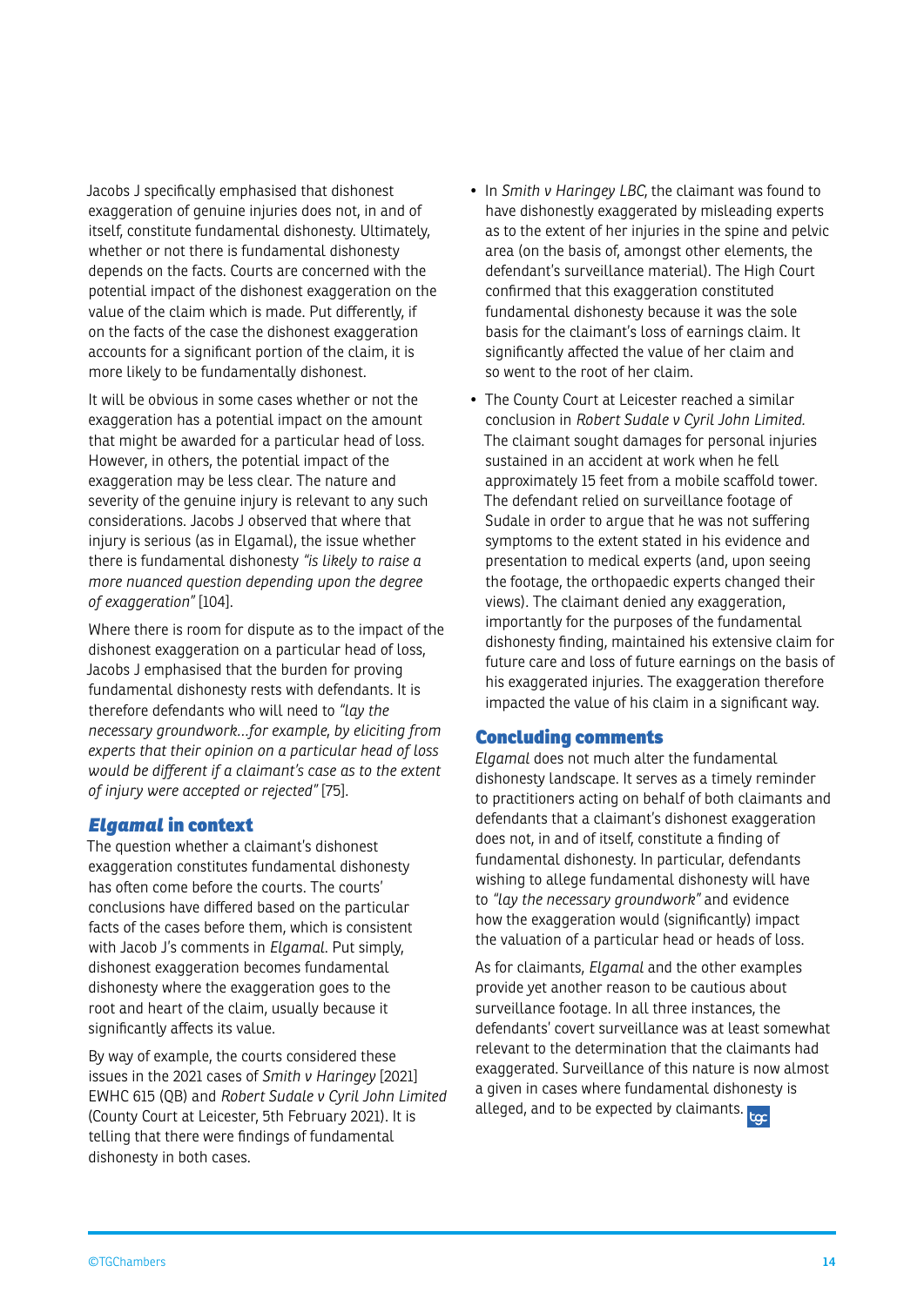Jacobs J specifically emphasised that dishonest exaggeration of genuine injuries does not, in and of itself, constitute fundamental dishonesty. Ultimately, whether or not there is fundamental dishonesty depends on the facts. Courts are concerned with the potential impact of the dishonest exaggeration on the value of the claim which is made. Put differently, if on the facts of the case the dishonest exaggeration accounts for a significant portion of the claim, it is more likely to be fundamentally dishonest.

It will be obvious in some cases whether or not the exaggeration has a potential impact on the amount that might be awarded for a particular head of loss. However, in others, the potential impact of the exaggeration may be less clear. The nature and severity of the genuine injury is relevant to any such considerations. Jacobs J observed that where that injury is serious (as in Elgamal), the issue whether there is fundamental dishonesty *"is likely to raise a more nuanced question depending upon the degree of exaggeration"* [104].

Where there is room for dispute as to the impact of the dishonest exaggeration on a particular head of loss, Jacobs J emphasised that the burden for proving fundamental dishonesty rests with defendants. It is therefore defendants who will need to *"lay the necessary groundwork…for example, by eliciting from experts that their opinion on a particular head of loss would be different if a claimant's case as to the extent of injury were accepted or rejected"* [75].

#### *Elgamal* in context

The question whether a claimant's dishonest exaggeration constitutes fundamental dishonesty has often come before the courts. The courts' conclusions have differed based on the particular facts of the cases before them, which is consistent with Jacob J's comments in *Elgamal*. Put simply, dishonest exaggeration becomes fundamental dishonesty where the exaggeration goes to the root and heart of the claim, usually because it significantly affects its value.

By way of example, the courts considered these issues in the 2021 cases of *Smith v Haringey* [2021] EWHC 615 (QB) and *Robert Sudale v Cyril John Limited* (County Court at Leicester, 5th February 2021). It is telling that there were findings of fundamental dishonesty in both cases.

- In *Smith v Haringey LBC,* the claimant was found to have dishonestly exaggerated by misleading experts as to the extent of her injuries in the spine and pelvic area (on the basis of, amongst other elements, the defendant's surveillance material). The High Court confirmed that this exaggeration constituted fundamental dishonesty because it was the sole basis for the claimant's loss of earnings claim. It significantly affected the value of her claim and so went to the root of her claim.
- The County Court at Leicester reached a similar conclusion in *Robert Sudale v Cyril John Limited.* The claimant sought damages for personal injuries sustained in an accident at work when he fell approximately 15 feet from a mobile scaffold tower. The defendant relied on surveillance footage of Sudale in order to argue that he was not suffering symptoms to the extent stated in his evidence and presentation to medical experts (and, upon seeing the footage, the orthopaedic experts changed their views). The claimant denied any exaggeration, importantly for the purposes of the fundamental dishonesty finding, maintained his extensive claim for future care and loss of future earnings on the basis of his exaggerated injuries. The exaggeration therefore impacted the value of his claim in a significant way.

#### Concluding comments

*Elgamal* does not much alter the fundamental dishonesty landscape. It serves as a timely reminder to practitioners acting on behalf of both claimants and defendants that a claimant's dishonest exaggeration does not, in and of itself, constitute a finding of fundamental dishonesty. In particular, defendants wishing to allege fundamental dishonesty will have to *"lay the necessary groundwork"* and evidence how the exaggeration would (significantly) impact the valuation of a particular head or heads of loss.

As for claimants, *Elgamal* and the other examples provide yet another reason to be cautious about surveillance footage. In all three instances, the defendants' covert surveillance was at least somewhat relevant to the determination that the claimants had exaggerated. Surveillance of this nature is now almost a given in cases where fundamental dishonesty is alleged, and to be expected by claimants.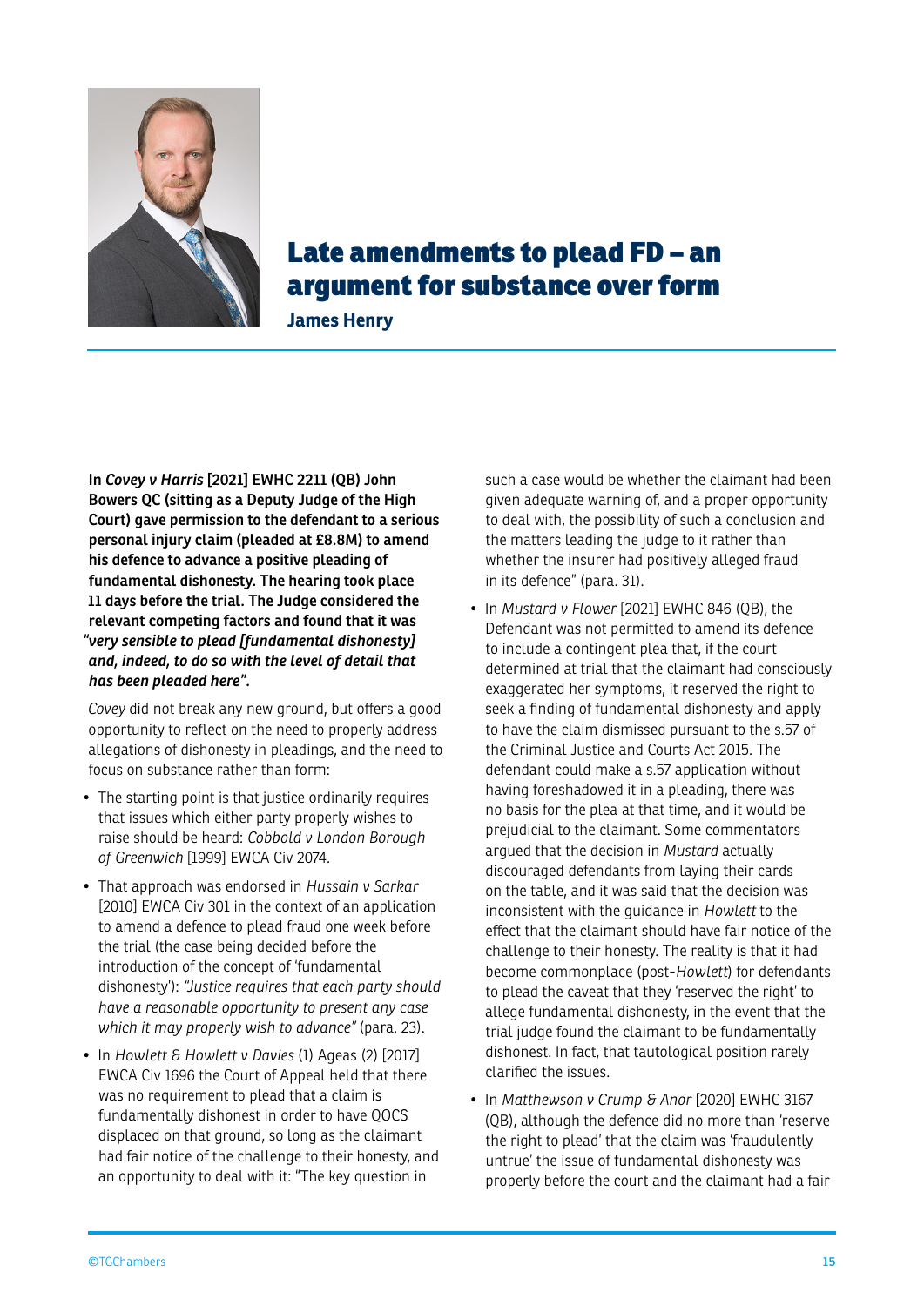

## Late amendments to plead FD – an argument for substance over form

**James Henry**

**In** *Covey v Harris* **[2021] EWHC 2211 (QB) John Bowers QC (sitting as a Deputy Judge of the High Court) gave permission to the defendant to a serious personal injury claim (pleaded at £8.8M) to amend his defence to advance a positive pleading of fundamental dishonesty. The hearing took place 11 days before the trial. The Judge considered the relevant competing factors and found that it was**  *"very sensible to plead [fundamental dishonesty] and, indeed, to do so with the level of detail that has been pleaded here"***.**

*Covey* did not break any new ground, but offers a good opportunity to reflect on the need to properly address allegations of dishonesty in pleadings, and the need to focus on substance rather than form:

- The starting point is that justice ordinarily requires that issues which either party properly wishes to raise should be heard: *Cobbold v London Borough of Greenwich* [1999] EWCA Civ 2074.
- That approach was endorsed in *Hussain v Sarkar*  [2010] EWCA Civ 301 in the context of an application to amend a defence to plead fraud one week before the trial (the case being decided before the introduction of the concept of 'fundamental dishonesty'): *"Justice requires that each party should have a reasonable opportunity to present any case which it may properly wish to advance"* (para. 23).
- In *Howlett & Howlett v Davies* (1) Ageas (2) [2017] EWCA Civ 1696 the Court of Appeal held that there was no requirement to plead that a claim is fundamentally dishonest in order to have QOCS displaced on that ground, so long as the claimant had fair notice of the challenge to their honesty, and an opportunity to deal with it: "The key question in

such a case would be whether the claimant had been given adequate warning of, and a proper opportunity to deal with, the possibility of such a conclusion and the matters leading the judge to it rather than whether the insurer had positively alleged fraud in its defence" (para. 31).

- In *Mustard v Flower* [2021] EWHC 846 (QB), the Defendant was not permitted to amend its defence to include a contingent plea that, if the court determined at trial that the claimant had consciously exaggerated her symptoms, it reserved the right to seek a finding of fundamental dishonesty and apply to have the claim dismissed pursuant to the s.57 of the Criminal Justice and Courts Act 2015. The defendant could make a s.57 application without having foreshadowed it in a pleading, there was no basis for the plea at that time, and it would be prejudicial to the claimant. Some commentators argued that the decision in *Mustard* actually discouraged defendants from laying their cards on the table, and it was said that the decision was inconsistent with the guidance in *Howlett* to the effect that the claimant should have fair notice of the challenge to their honesty. The reality is that it had become commonplace (post-*Howlett*) for defendants to plead the caveat that they 'reserved the right' to allege fundamental dishonesty, in the event that the trial judge found the claimant to be fundamentally dishonest. In fact, that tautological position rarely clarified the issues.
- In *Matthewson v Crump & Anor* [2020] EWHC 3167 (QB), although the defence did no more than 'reserve the right to plead' that the claim was 'fraudulently untrue' the issue of fundamental dishonesty was properly before the court and the claimant had a fair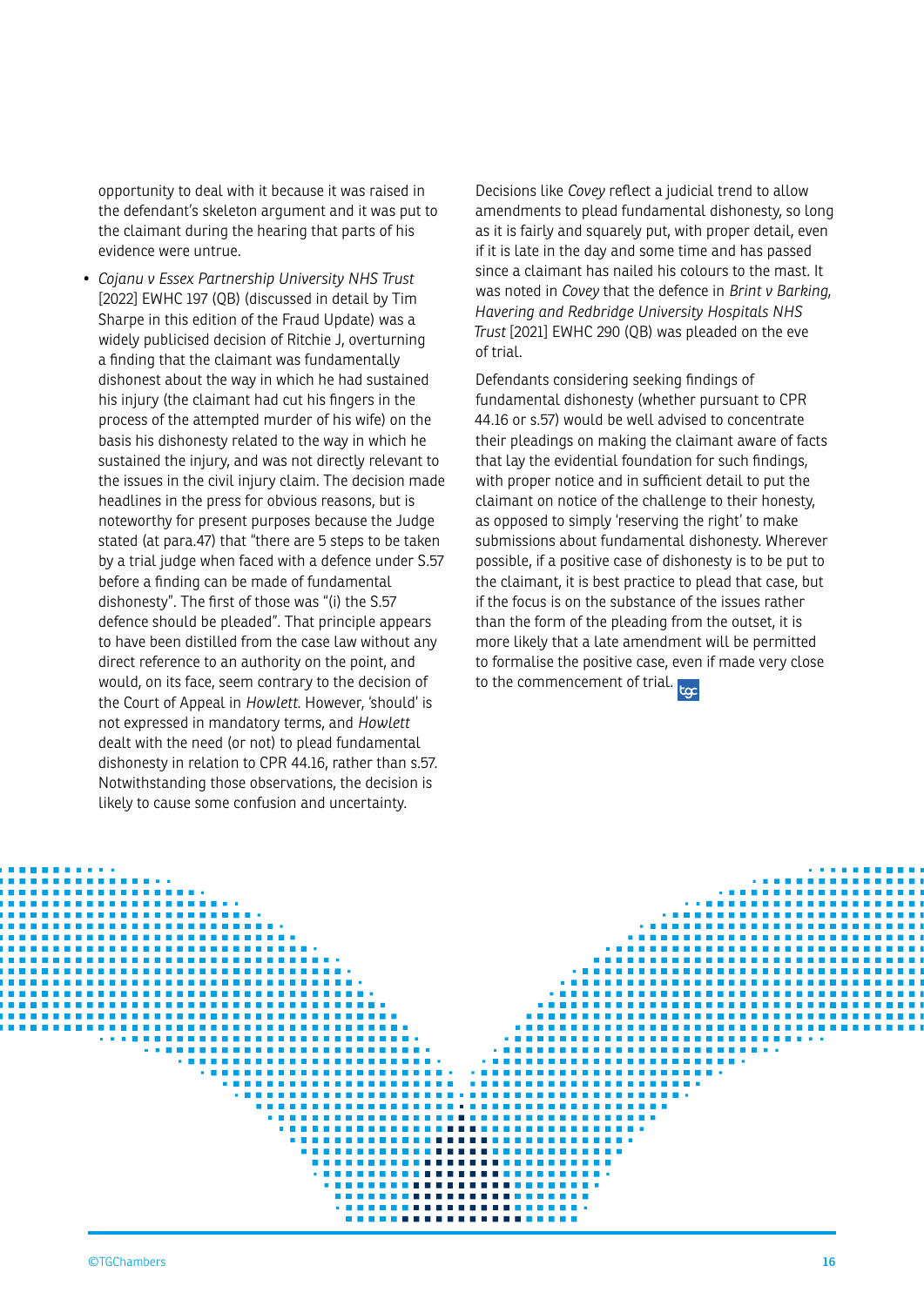opportunity to deal with it because it was raised in the defendant's skeleton argument and it was put to the claimant during the hearing that parts of his evidence were untrue.

• *Cojanu v Essex Partnership University NHS Trust*  [2022] EWHC 197 (QB) (discussed in detail by Tim Sharpe in this edition of the Fraud Update) was a widely publicised decision of Ritchie J, overturning a finding that the claimant was fundamentally dishonest about the way in which he had sustained his injury (the claimant had cut his fingers in the process of the attempted murder of his wife) on the basis his dishonesty related to the way in which he sustained the injury, and was not directly relevant to the issues in the civil injury claim. The decision made headlines in the press for obvious reasons, but is noteworthy for present purposes because the Judge stated (at para.47) that "there are 5 steps to be taken by a trial judge when faced with a defence under S.57 before a finding can be made of fundamental dishonesty". The first of those was "(i) the S.57 defence should be pleaded". That principle appears to have been distilled from the case law without any direct reference to an authority on the point, and would, on its face, seem contrary to the decision of the Court of Appeal in *Howlett*. However, 'should' is not expressed in mandatory terms, and *Howlett* dealt with the need (or not) to plead fundamental dishonesty in relation to CPR 44.16, rather than s.57. Notwithstanding those observations, the decision is likely to cause some confusion and uncertainty.

Decisions like *Covey* reflect a judicial trend to allow amendments to plead fundamental dishonesty, so long as it is fairly and squarely put, with proper detail, even if it is late in the day and some time and has passed since a claimant has nailed his colours to the mast. It was noted in *Covey* that the defence in *Brint v Barking, Havering and Redbridge University Hospitals NHS Trust* [2021] EWHC 290 (QB) was pleaded on the eve of trial.

Defendants considering seeking findings of fundamental dishonesty (whether pursuant to CPR 44.16 or s.57) would be well advised to concentrate their pleadings on making the claimant aware of facts that lay the evidential foundation for such findings, with proper notice and in sufficient detail to put the claimant on notice of the challenge to their honesty, as opposed to simply 'reserving the right' to make submissions about fundamental dishonesty. Wherever possible, if a positive case of dishonesty is to be put to the claimant, it is best practice to plead that case, but if the focus is on the substance of the issues rather than the form of the pleading from the outset, it is more likely that a late amendment will be permitted to formalise the positive case, even if made very close to the commencement of trial.

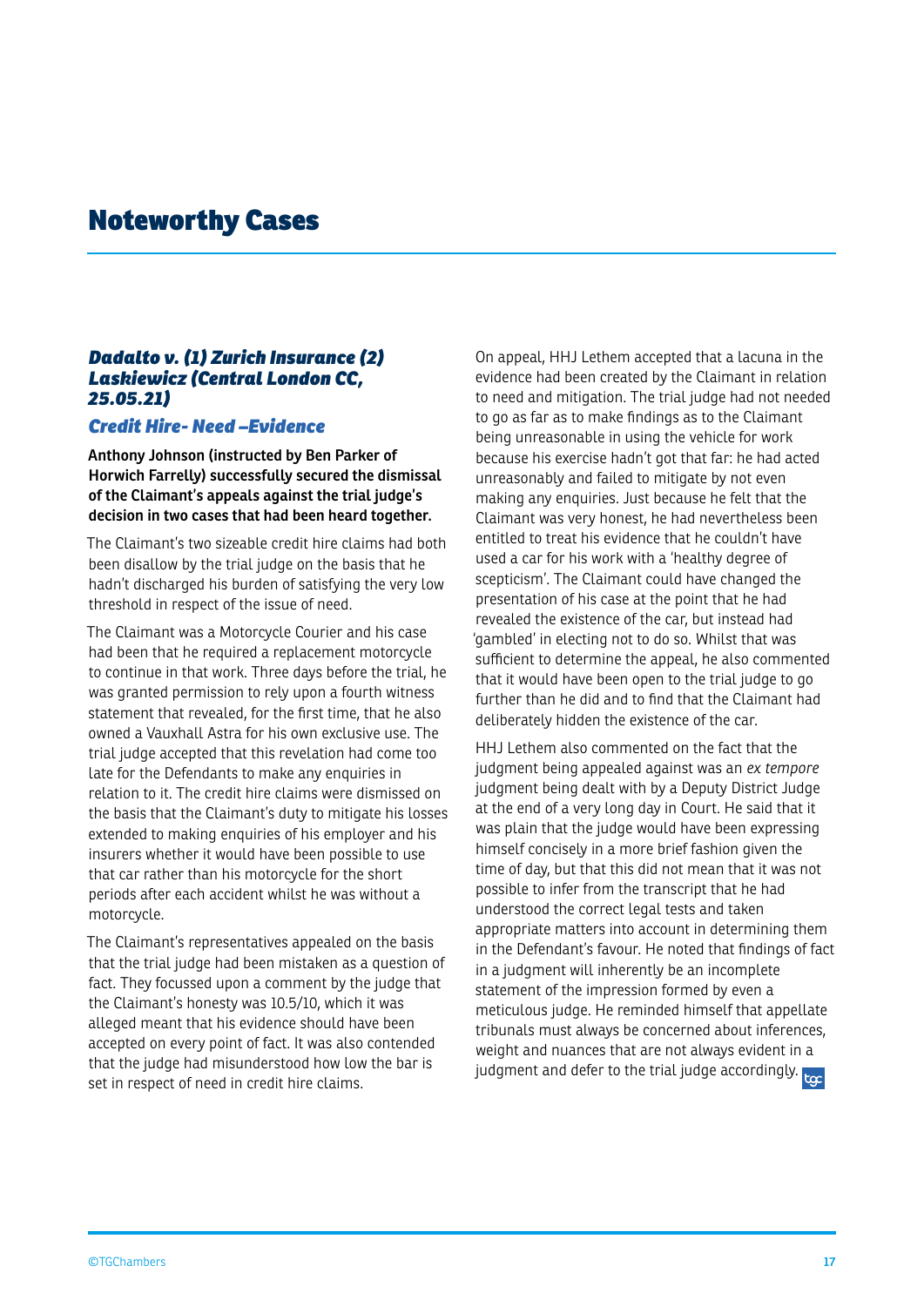### <span id="page-16-0"></span>Noteworthy Cases

#### *Dadalto v. (1) Zurich Insurance (2) Laskiewicz (Central London CC, 25.05.21)*

#### *Credit Hire- Need –Evidence*

**Anthony Johnson (instructed by Ben Parker of Horwich Farrelly) successfully secured the dismissal of the Claimant's appeals against the trial judge's decision in two cases that had been heard together.** 

The Claimant's two sizeable credit hire claims had both been disallow by the trial judge on the basis that he hadn't discharged his burden of satisfying the very low threshold in respect of the issue of need.

The Claimant was a Motorcycle Courier and his case had been that he required a replacement motorcycle to continue in that work. Three days before the trial, he was granted permission to rely upon a fourth witness statement that revealed, for the first time, that he also owned a Vauxhall Astra for his own exclusive use. The trial judge accepted that this revelation had come too late for the Defendants to make any enquiries in relation to it. The credit hire claims were dismissed on the basis that the Claimant's duty to mitigate his losses extended to making enquiries of his employer and his insurers whether it would have been possible to use that car rather than his motorcycle for the short periods after each accident whilst he was without a motorcycle.

The Claimant's representatives appealed on the basis that the trial judge had been mistaken as a question of fact. They focussed upon a comment by the judge that the Claimant's honesty was 10.5/10, which it was alleged meant that his evidence should have been accepted on every point of fact. It was also contended that the judge had misunderstood how low the bar is set in respect of need in credit hire claims.

On appeal, HHJ Lethem accepted that a lacuna in the evidence had been created by the Claimant in relation to need and mitigation. The trial judge had not needed to go as far as to make findings as to the Claimant being unreasonable in using the vehicle for work because his exercise hadn't got that far: he had acted unreasonably and failed to mitigate by not even making any enquiries. Just because he felt that the Claimant was very honest, he had nevertheless been entitled to treat his evidence that he couldn't have used a car for his work with a 'healthy degree of scepticism'. The Claimant could have changed the presentation of his case at the point that he had revealed the existence of the car, but instead had 'gambled' in electing not to do so. Whilst that was sufficient to determine the appeal, he also commented that it would have been open to the trial judge to go further than he did and to find that the Claimant had deliberately hidden the existence of the car.

HHJ Lethem also commented on the fact that the judgment being appealed against was an *ex tempore* judgment being dealt with by a Deputy District Judge at the end of a very long day in Court. He said that it was plain that the judge would have been expressing himself concisely in a more brief fashion given the time of day, but that this did not mean that it was not possible to infer from the transcript that he had understood the correct legal tests and taken appropriate matters into account in determining them in the Defendant's favour. He noted that findings of fact in a judgment will inherently be an incomplete statement of the impression formed by even a meticulous judge. He reminded himself that appellate tribunals must always be concerned about inferences, weight and nuances that are not always evident in a judgment and defer to the trial judge accordingly. <sub>top</sub>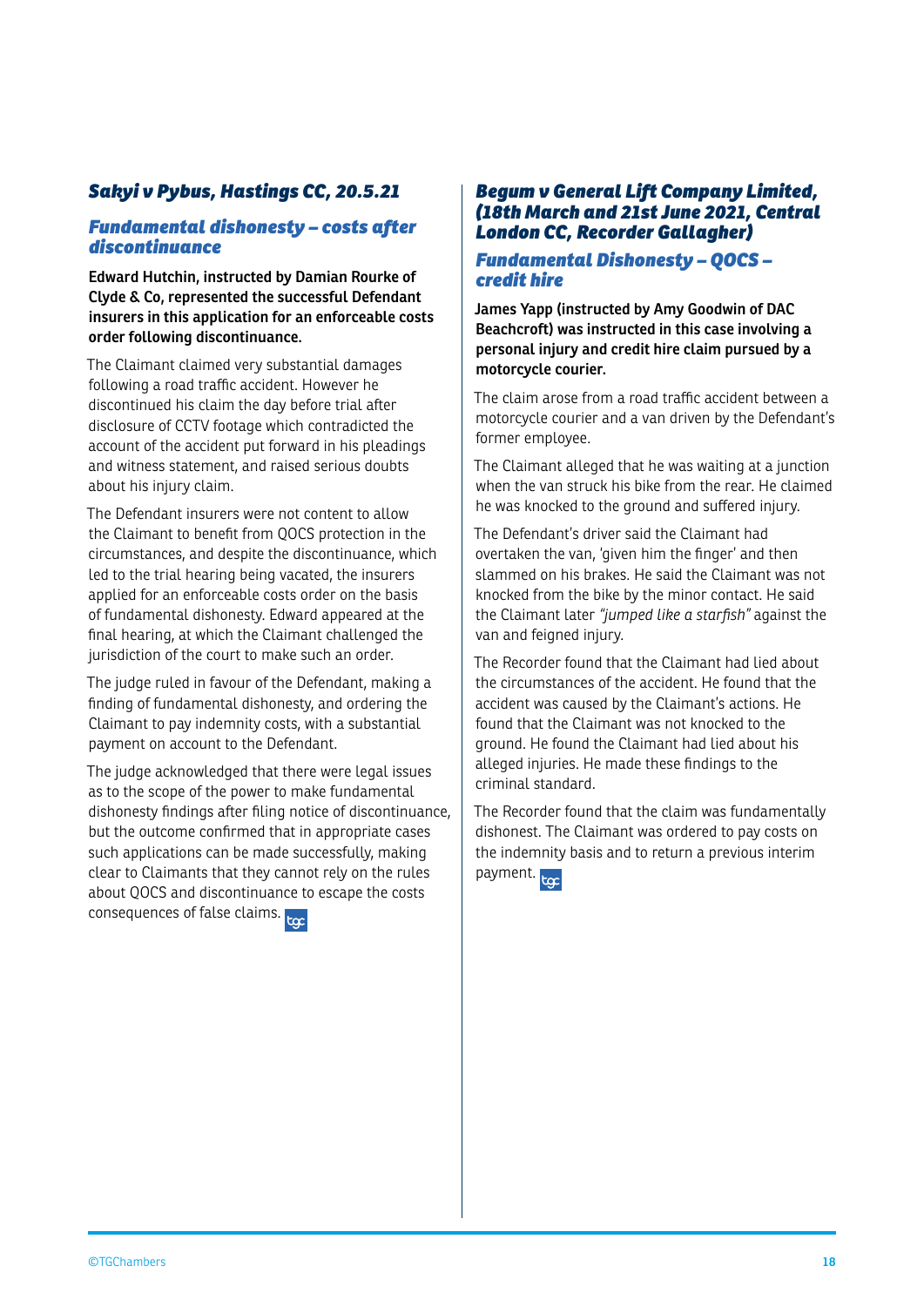#### *Sakyi v Pybus, Hastings CC, 20.5.21*

#### *Fundamental dishonesty – costs after discontinuance*

**Edward Hutchin, instructed by Damian Rourke of Clyde & Co, represented the successful Defendant insurers in this application for an enforceable costs order following discontinuance.**

The Claimant claimed very substantial damages following a road traffic accident. However he discontinued his claim the day before trial after disclosure of CCTV footage which contradicted the account of the accident put forward in his pleadings and witness statement, and raised serious doubts about his injury claim.

The Defendant insurers were not content to allow the Claimant to benefit from QOCS protection in the circumstances, and despite the discontinuance, which led to the trial hearing being vacated, the insurers applied for an enforceable costs order on the basis of fundamental dishonesty. Edward appeared at the final hearing, at which the Claimant challenged the jurisdiction of the court to make such an order.

The judge ruled in favour of the Defendant, making a finding of fundamental dishonesty, and ordering the Claimant to pay indemnity costs, with a substantial payment on account to the Defendant.

The judge acknowledged that there were legal issues as to the scope of the power to make fundamental dishonesty findings after filing notice of discontinuance, but the outcome confirmed that in appropriate cases such applications can be made successfully, making clear to Claimants that they cannot rely on the rules about QOCS and discontinuance to escape the costs consequences of false claims. too

#### *Begum v General Lift Company Limited, (18th March and 21st June 2021, Central London CC, Recorder Gallagher)*

#### *Fundamental Dishonesty – QOCS – credit hire*

**James Yapp (instructed by Amy Goodwin of DAC Beachcroft) was instructed in this case involving a personal injury and credit hire claim pursued by a motorcycle courier.**

The claim arose from a road traffic accident between a motorcycle courier and a van driven by the Defendant's former employee.

The Claimant alleged that he was waiting at a junction when the van struck his bike from the rear. He claimed he was knocked to the ground and suffered injury.

The Defendant's driver said the Claimant had overtaken the van, 'given him the finger' and then slammed on his brakes. He said the Claimant was not knocked from the bike by the minor contact. He said the Claimant later *"jumped like a starfish"* against the van and feigned injury.

The Recorder found that the Claimant had lied about the circumstances of the accident. He found that the accident was caused by the Claimant's actions. He found that the Claimant was not knocked to the ground. He found the Claimant had lied about his alleged injuries. He made these findings to the criminal standard.

The Recorder found that the claim was fundamentally dishonest. The Claimant was ordered to pay costs on the indemnity basis and to return a previous interim payment. <sub>too</sub>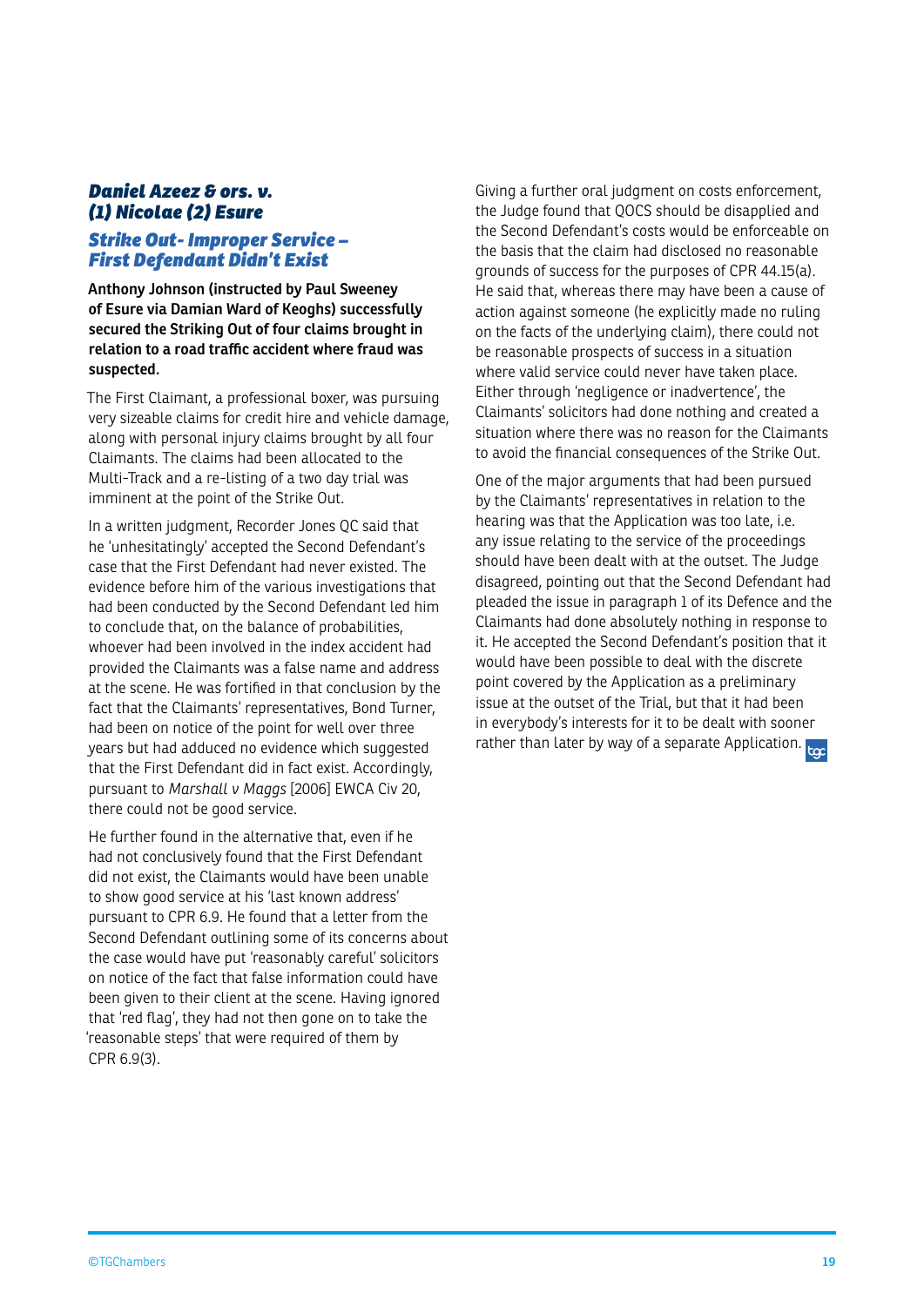#### *Daniel Azeez & ors. v. (1) Nicolae (2) Esure*

#### *Strike Out- Improper Service – First Defendant Didn't Exist*

**Anthony Johnson (instructed by Paul Sweeney of Esure via Damian Ward of Keoghs) successfully secured the Striking Out of four claims brought in relation to a road traffic accident where fraud was suspected.** 

The First Claimant, a professional boxer, was pursuing very sizeable claims for credit hire and vehicle damage, along with personal injury claims brought by all four Claimants. The claims had been allocated to the Multi-Track and a re-listing of a two day trial was imminent at the point of the Strike Out.

In a written judgment, Recorder Jones QC said that he 'unhesitatingly' accepted the Second Defendant's case that the First Defendant had never existed. The evidence before him of the various investigations that had been conducted by the Second Defendant led him to conclude that, on the balance of probabilities, whoever had been involved in the index accident had provided the Claimants was a false name and address at the scene. He was fortified in that conclusion by the fact that the Claimants' representatives, Bond Turner, had been on notice of the point for well over three years but had adduced no evidence which suggested that the First Defendant did in fact exist. Accordingly, pursuant to *Marshall v Maggs* [2006] EWCA Civ 20, there could not be good service.

He further found in the alternative that, even if he had not conclusively found that the First Defendant did not exist, the Claimants would have been unable to show good service at his 'last known address' pursuant to CPR 6.9. He found that a letter from the Second Defendant outlining some of its concerns about the case would have put 'reasonably careful' solicitors on notice of the fact that false information could have been given to their client at the scene. Having ignored that 'red flag', they had not then gone on to take the 'reasonable steps' that were required of them by CPR 6.9(3).

Giving a further oral judgment on costs enforcement, the Judge found that QOCS should be disapplied and the Second Defendant's costs would be enforceable on the basis that the claim had disclosed no reasonable grounds of success for the purposes of CPR 44.15(a). He said that, whereas there may have been a cause of action against someone (he explicitly made no ruling on the facts of the underlying claim), there could not be reasonable prospects of success in a situation where valid service could never have taken place. Either through 'negligence or inadvertence', the Claimants' solicitors had done nothing and created a situation where there was no reason for the Claimants to avoid the financial consequences of the Strike Out.

One of the major arguments that had been pursued by the Claimants' representatives in relation to the hearing was that the Application was too late, i.e. any issue relating to the service of the proceedings should have been dealt with at the outset. The Judge disagreed, pointing out that the Second Defendant had pleaded the issue in paragraph 1 of its Defence and the Claimants had done absolutely nothing in response to it. He accepted the Second Defendant's position that it would have been possible to deal with the discrete point covered by the Application as a preliminary issue at the outset of the Trial, but that it had been in everybody's interests for it to be dealt with sooner rather than later by way of a separate Application. <sub>too</sub>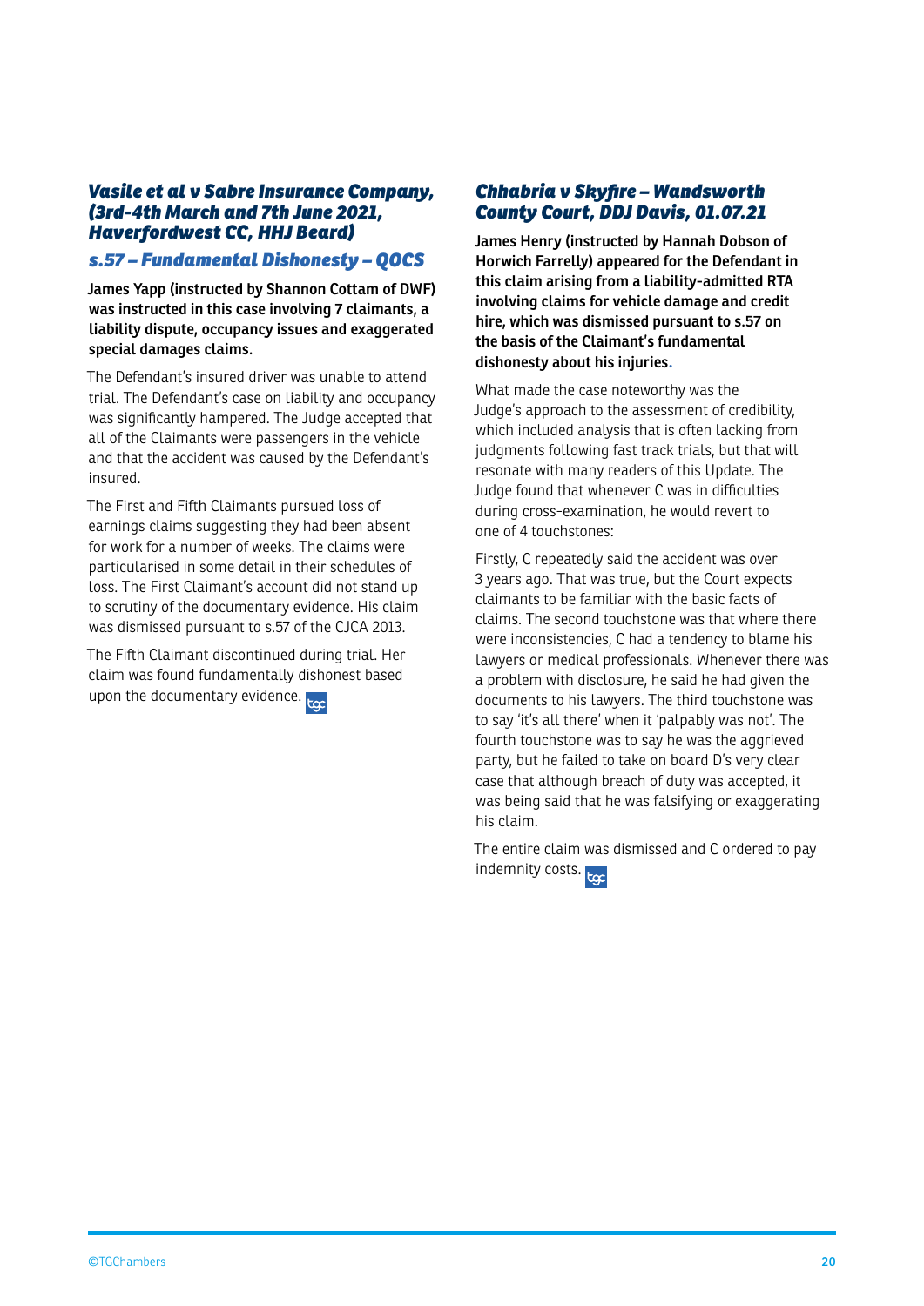#### *Vasile et al v Sabre Insurance Company, (3rd-4th March and 7th June 2021, Haverfordwest CC, HHJ Beard)*

#### *s.57 – Fundamental Dishonesty – QOCS*

**James Yapp (instructed by Shannon Cottam of DWF) was instructed in this case involving 7 claimants, a liability dispute, occupancy issues and exaggerated special damages claims.**

The Defendant's insured driver was unable to attend trial. The Defendant's case on liability and occupancy was significantly hampered. The Judge accepted that all of the Claimants were passengers in the vehicle and that the accident was caused by the Defendant's insured.

The First and Fifth Claimants pursued loss of earnings claims suggesting they had been absent for work for a number of weeks. The claims were particularised in some detail in their schedules of loss. The First Claimant's account did not stand up to scrutiny of the documentary evidence. His claim was dismissed pursuant to s.57 of the CJCA 2013.

The Fifth Claimant discontinued during trial. Her claim was found fundamentally dishonest based upon the documentary evidence. top

#### *Chhabria v Skyfire – Wandsworth County Court, DDJ Davis, 01.07.21*

**James Henry (instructed by Hannah Dobson of Horwich Farrelly) appeared for the Defendant in this claim arising from a liability-admitted RTA involving claims for vehicle damage and credit hire, which was dismissed pursuant to s.57 on the basis of the Claimant's fundamental dishonesty about his injuries.**

What made the case noteworthy was the Judge's approach to the assessment of credibility, which included analysis that is often lacking from judgments following fast track trials, but that will resonate with many readers of this Update. The Judge found that whenever C was in difficulties during cross-examination, he would revert to one of 4 touchstones:

Firstly, C repeatedly said the accident was over 3 years ago. That was true, but the Court expects claimants to be familiar with the basic facts of claims. The second touchstone was that where there were inconsistencies, C had a tendency to blame his lawyers or medical professionals. Whenever there was a problem with disclosure, he said he had given the documents to his lawyers. The third touchstone was to say 'it's all there' when it 'palpably was not'. The fourth touchstone was to say he was the aggrieved party, but he failed to take on board D's very clear case that although breach of duty was accepted, it was being said that he was falsifying or exaggerating his claim.

The entire claim was dismissed and C ordered to pay indemnity costs. to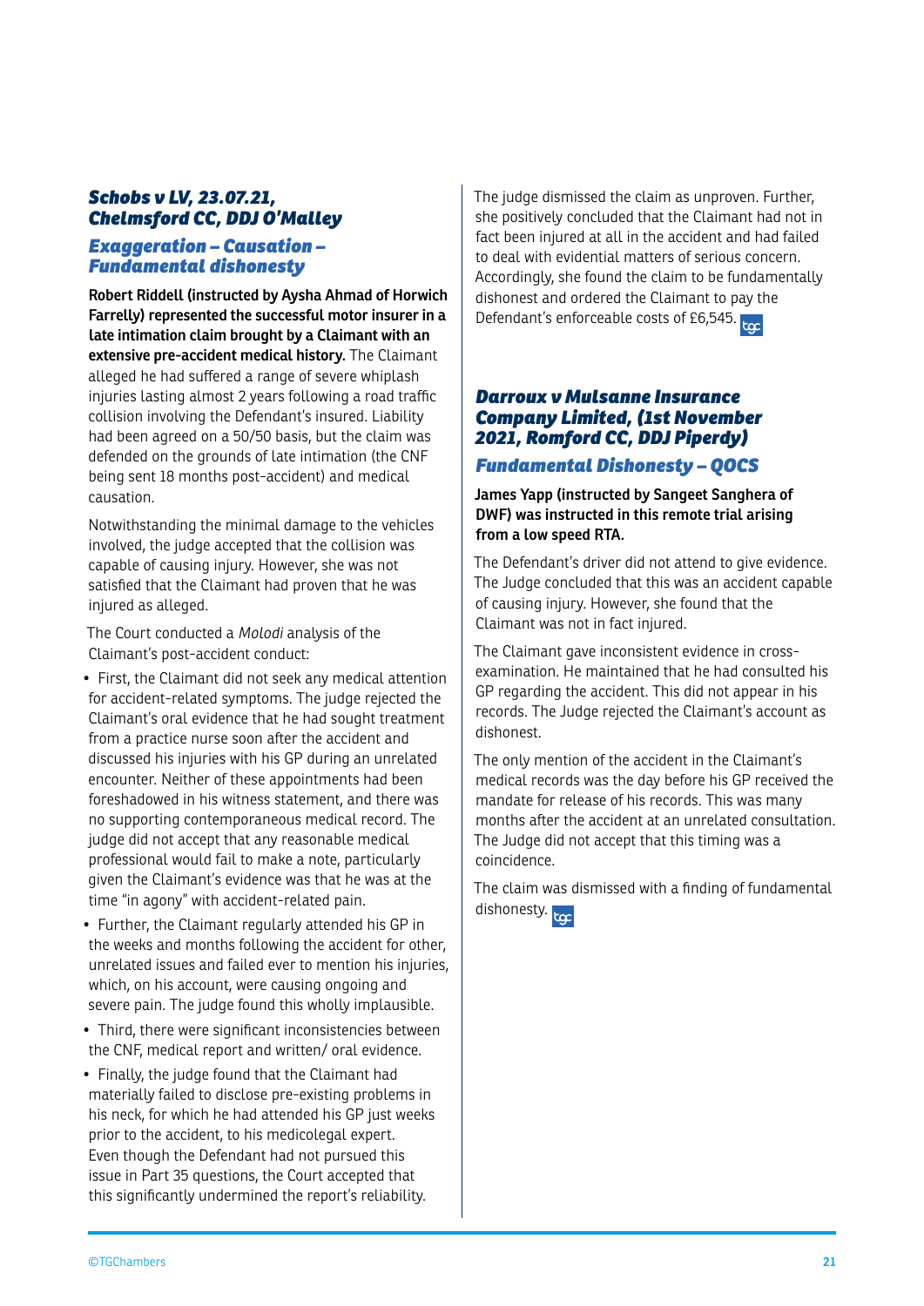#### *Schobs v LV, 23.07.21, Chelmsford CC, DDJ O'Malley*

#### *Exaggeration – Causation – Fundamental dishonesty*

**Robert Riddell (instructed by Aysha Ahmad of Horwich Farrelly) represented the successful motor insurer in a late intimation claim brought by a Claimant with an extensive pre-accident medical history.** The Claimant alleged he had suffered a range of severe whiplash injuries lasting almost 2 years following a road traffic collision involving the Defendant's insured. Liability had been agreed on a 50/50 basis, but the claim was defended on the grounds of late intimation (the CNF being sent 18 months post-accident) and medical causation.

Notwithstanding the minimal damage to the vehicles involved, the judge accepted that the collision was capable of causing injury. However, she was not satisfied that the Claimant had proven that he was injured as alleged.

The Court conducted a *Molodi* analysis of the Claimant's post-accident conduct:

- First, the Claimant did not seek any medical attention for accident-related symptoms. The judge rejected the Claimant's oral evidence that he had sought treatment from a practice nurse soon after the accident and discussed his injuries with his GP during an unrelated encounter. Neither of these appointments had been foreshadowed in his witness statement, and there was no supporting contemporaneous medical record. The judge did not accept that any reasonable medical professional would fail to make a note, particularly given the Claimant's evidence was that he was at the time "in agony" with accident-related pain.
- Further, the Claimant regularly attended his GP in the weeks and months following the accident for other, unrelated issues and failed ever to mention his injuries, which, on his account, were causing ongoing and severe pain. The judge found this wholly implausible.
- Third, there were significant inconsistencies between the CNF, medical report and written/ oral evidence.
- Finally, the judge found that the Claimant had materially failed to disclose pre-existing problems in his neck, for which he had attended his GP just weeks prior to the accident, to his medicolegal expert. Even though the Defendant had not pursued this issue in Part 35 questions, the Court accepted that this significantly undermined the report's reliability.

The judge dismissed the claim as unproven. Further, she positively concluded that the Claimant had not in fact been injured at all in the accident and had failed to deal with evidential matters of serious concern. Accordingly, she found the claim to be fundamentally dishonest and ordered the Claimant to pay the Defendant's enforceable costs of £6,545.

#### *Darroux v Mulsanne Insurance Company Limited, (1st November 2021, Romford CC, DDJ Piperdy)*

#### *Fundamental Dishonesty – QOCS*

#### **James Yapp (instructed by Sangeet Sanghera of DWF) was instructed in this remote trial arising from a low speed RTA.**

The Defendant's driver did not attend to give evidence. The Judge concluded that this was an accident capable of causing injury. However, she found that the Claimant was not in fact injured.

The Claimant gave inconsistent evidence in crossexamination. He maintained that he had consulted his GP regarding the accident. This did not appear in his records. The Judge rejected the Claimant's account as dishonest.

The only mention of the accident in the Claimant's medical records was the day before his GP received the mandate for release of his records. This was many months after the accident at an unrelated consultation. The Judge did not accept that this timing was a coincidence.

The claim was dismissed with a finding of fundamental dishonesty. <sub>Loc</sub>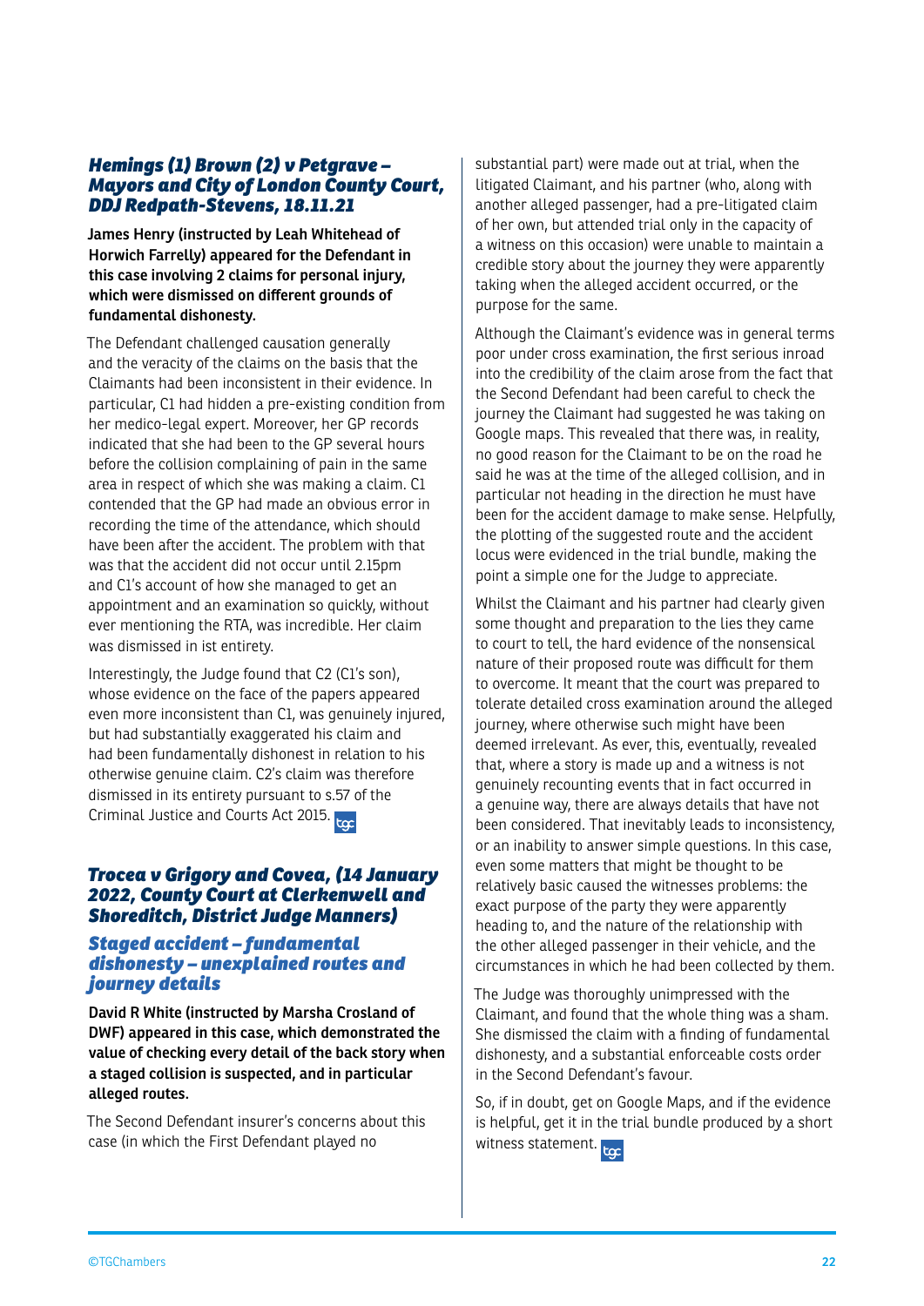#### *Hemings (1) Brown (2) v Petgrave – Mayors and City of London County Court, DDJ Redpath-Stevens, 18.11.21*

**James Henry (instructed by Leah Whitehead of Horwich Farrelly) appeared for the Defendant in this case involving 2 claims for personal injury, which were dismissed on different grounds of fundamental dishonesty.**

The Defendant challenged causation generally and the veracity of the claims on the basis that the Claimants had been inconsistent in their evidence. In particular, C1 had hidden a pre-existing condition from her medico-legal expert. Moreover, her GP records indicated that she had been to the GP several hours before the collision complaining of pain in the same area in respect of which she was making a claim. C1 contended that the GP had made an obvious error in recording the time of the attendance, which should have been after the accident. The problem with that was that the accident did not occur until 2.15pm and C1's account of how she managed to get an appointment and an examination so quickly, without ever mentioning the RTA, was incredible. Her claim was dismissed in ist entirety.

Interestingly, the Judge found that C2 (C1's son), whose evidence on the face of the papers appeared even more inconsistent than C1, was genuinely injured, but had substantially exaggerated his claim and had been fundamentally dishonest in relation to his otherwise genuine claim. C2's claim was therefore dismissed in its entirety pursuant to s.57 of the Criminal Justice and Courts Act 2015.

#### *Trocea v Grigory and Covea, (14 January 2022, County Court at Clerkenwell and Shoreditch, District Judge Manners)*

#### *Staged accident – fundamental dishonesty – unexplained routes and journey details*

**David R White (instructed by Marsha Crosland of DWF) appeared in this case, which demonstrated the value of checking every detail of the back story when a staged collision is suspected, and in particular alleged routes.**

The Second Defendant insurer's concerns about this case (in which the First Defendant played no

substantial part) were made out at trial, when the litigated Claimant, and his partner (who, along with another alleged passenger, had a pre-litigated claim of her own, but attended trial only in the capacity of a witness on this occasion) were unable to maintain a credible story about the journey they were apparently taking when the alleged accident occurred, or the purpose for the same.

Although the Claimant's evidence was in general terms poor under cross examination, the first serious inroad into the credibility of the claim arose from the fact that the Second Defendant had been careful to check the journey the Claimant had suggested he was taking on Google maps. This revealed that there was, in reality, no good reason for the Claimant to be on the road he said he was at the time of the alleged collision, and in particular not heading in the direction he must have been for the accident damage to make sense. Helpfully, the plotting of the suggested route and the accident locus were evidenced in the trial bundle, making the point a simple one for the Judge to appreciate.

Whilst the Claimant and his partner had clearly given some thought and preparation to the lies they came to court to tell, the hard evidence of the nonsensical nature of their proposed route was difficult for them to overcome. It meant that the court was prepared to tolerate detailed cross examination around the alleged journey, where otherwise such might have been deemed irrelevant. As ever, this, eventually, revealed that, where a story is made up and a witness is not genuinely recounting events that in fact occurred in a genuine way, there are always details that have not been considered. That inevitably leads to inconsistency, or an inability to answer simple questions. In this case, even some matters that might be thought to be relatively basic caused the witnesses problems: the exact purpose of the party they were apparently heading to, and the nature of the relationship with the other alleged passenger in their vehicle, and the circumstances in which he had been collected by them.

The Judge was thoroughly unimpressed with the Claimant, and found that the whole thing was a sham. She dismissed the claim with a finding of fundamental dishonesty, and a substantial enforceable costs order in the Second Defendant's favour.

So, if in doubt, get on Google Maps, and if the evidence is helpful, get it in the trial bundle produced by a short witness statement. <sub>Loc</sub>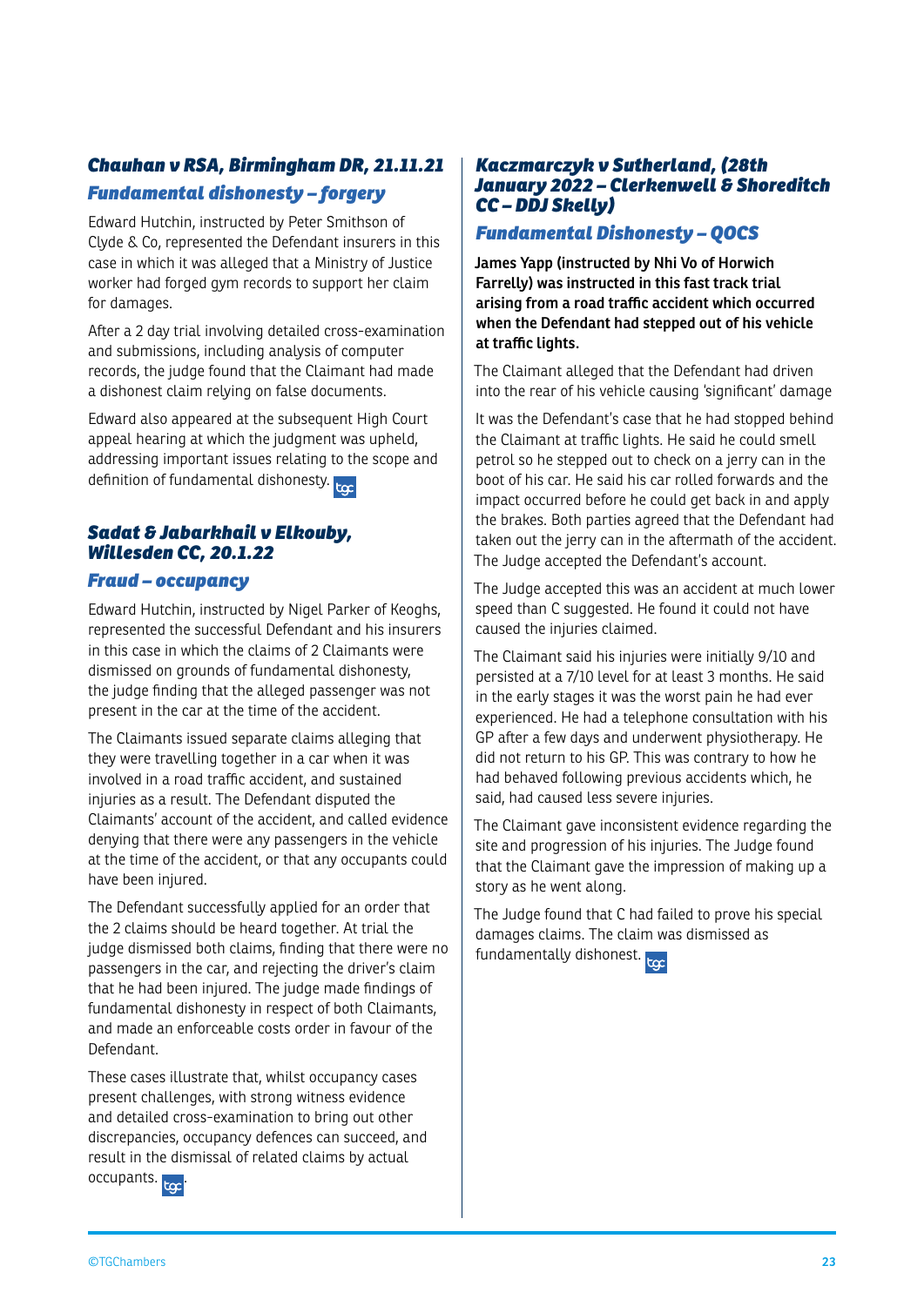#### *Chauhan v RSA, Birmingham DR, 21.11.21 Fundamental dishonesty – forgery*

Edward Hutchin, instructed by Peter Smithson of Clyde & Co, represented the Defendant insurers in this case in which it was alleged that a Ministry of Justice worker had forged gym records to support her claim for damages.

After a 2 day trial involving detailed cross-examination and submissions, including analysis of computer records, the judge found that the Claimant had made a dishonest claim relying on false documents.

Edward also appeared at the subsequent High Court appeal hearing at which the judgment was upheld, addressing important issues relating to the scope and definition of fundamental dishonesty.

#### *Sadat & Jabarkhail v Elkouby, Willesden CC, 20.1.22*

#### *Fraud – occupancy*

Edward Hutchin, instructed by Nigel Parker of Keoghs, represented the successful Defendant and his insurers in this case in which the claims of 2 Claimants were dismissed on grounds of fundamental dishonesty, the judge finding that the alleged passenger was not present in the car at the time of the accident.

The Claimants issued separate claims alleging that they were travelling together in a car when it was involved in a road traffic accident, and sustained injuries as a result. The Defendant disputed the Claimants' account of the accident, and called evidence denying that there were any passengers in the vehicle at the time of the accident, or that any occupants could have been injured.

The Defendant successfully applied for an order that the 2 claims should be heard together. At trial the judge dismissed both claims, finding that there were no passengers in the car, and rejecting the driver's claim that he had been injured. The judge made findings of fundamental dishonesty in respect of both Claimants, and made an enforceable costs order in favour of the Defendant.

These cases illustrate that, whilst occupancy cases present challenges, with strong witness evidence and detailed cross-examination to bring out other discrepancies, occupancy defences can succeed, and result in the dismissal of related claims by actual

occupants. <sub>toc</sub>

#### *Kaczmarczyk v Sutherland, (28th January 2022 – Clerkenwell & Shoreditch CC – DDJ Skelly)*

#### *Fundamental Dishonesty – QOCS*

**James Yapp (instructed by Nhi Vo of Horwich Farrelly) was instructed in this fast track trial arising from a road traffic accident which occurred when the Defendant had stepped out of his vehicle at traffic lights.**

The Claimant alleged that the Defendant had driven into the rear of his vehicle causing 'significant' damage

It was the Defendant's case that he had stopped behind the Claimant at traffic lights. He said he could smell petrol so he stepped out to check on a jerry can in the boot of his car. He said his car rolled forwards and the impact occurred before he could get back in and apply the brakes. Both parties agreed that the Defendant had taken out the jerry can in the aftermath of the accident. The Judge accepted the Defendant's account.

The Judge accepted this was an accident at much lower speed than C suggested. He found it could not have caused the injuries claimed.

The Claimant said his injuries were initially 9/10 and persisted at a 7/10 level for at least 3 months. He said in the early stages it was the worst pain he had ever experienced. He had a telephone consultation with his GP after a few days and underwent physiotherapy. He did not return to his GP. This was contrary to how he had behaved following previous accidents which, he said, had caused less severe injuries.

The Claimant gave inconsistent evidence regarding the site and progression of his injuries. The Judge found that the Claimant gave the impression of making up a story as he went along.

The Judge found that C had failed to prove his special damages claims. The claim was dismissed as fundamentally dishonest.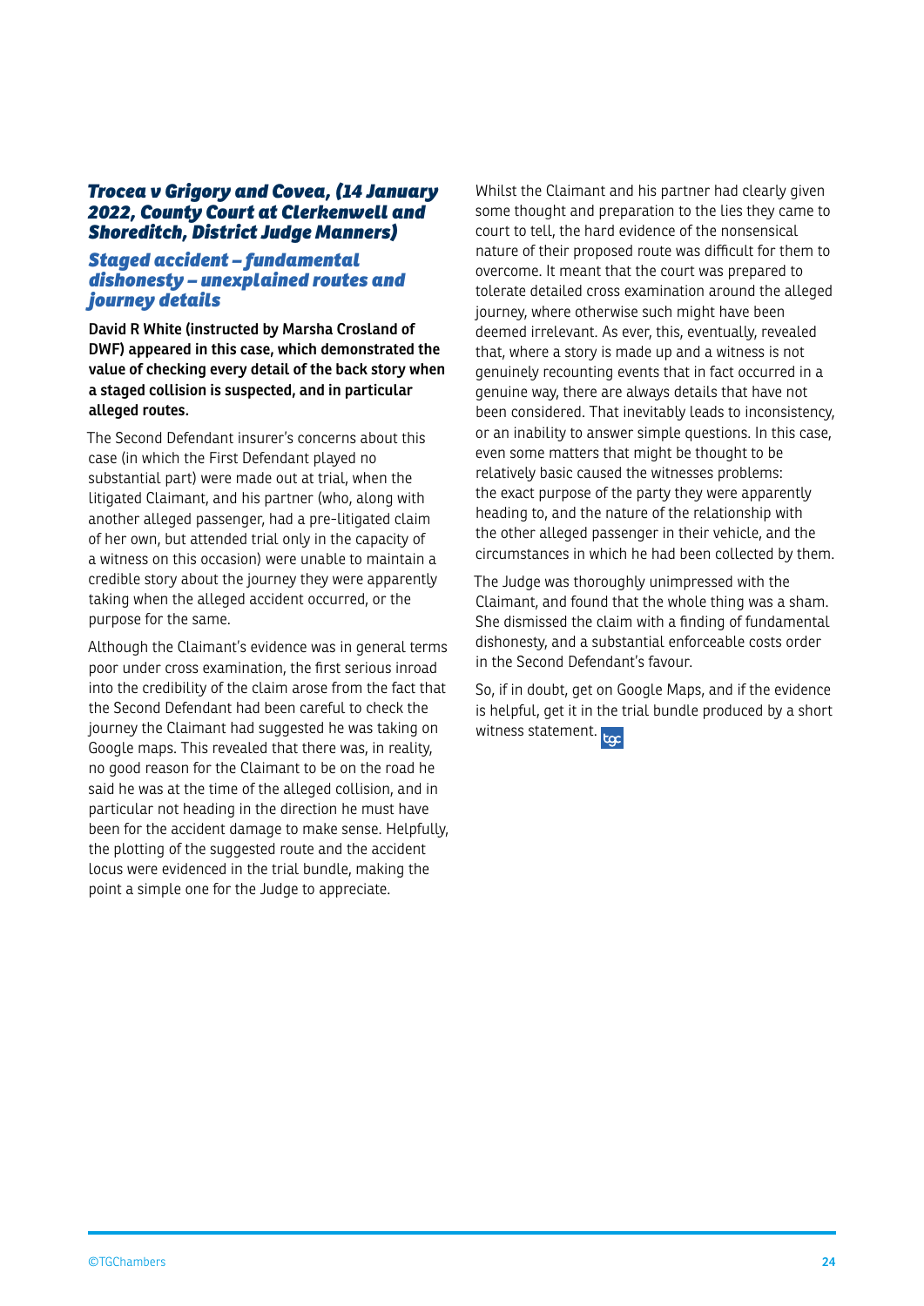#### *Trocea v Grigory and Covea, (14 January 2022, County Court at Clerkenwell and Shoreditch, District Judge Manners)*

#### *Staged accident – fundamental dishonesty – unexplained routes and journey details*

**David R White (instructed by Marsha Crosland of DWF) appeared in this case, which demonstrated the value of checking every detail of the back story when a staged collision is suspected, and in particular alleged routes.**

The Second Defendant insurer's concerns about this case (in which the First Defendant played no substantial part) were made out at trial, when the litigated Claimant, and his partner (who, along with another alleged passenger, had a pre-litigated claim of her own, but attended trial only in the capacity of a witness on this occasion) were unable to maintain a credible story about the journey they were apparently taking when the alleged accident occurred, or the purpose for the same.

Although the Claimant's evidence was in general terms poor under cross examination, the first serious inroad into the credibility of the claim arose from the fact that the Second Defendant had been careful to check the journey the Claimant had suggested he was taking on Google maps. This revealed that there was, in reality, no good reason for the Claimant to be on the road he said he was at the time of the alleged collision, and in particular not heading in the direction he must have been for the accident damage to make sense. Helpfully, the plotting of the suggested route and the accident locus were evidenced in the trial bundle, making the point a simple one for the Judge to appreciate.

Whilst the Claimant and his partner had clearly given some thought and preparation to the lies they came to court to tell, the hard evidence of the nonsensical nature of their proposed route was difficult for them to overcome. It meant that the court was prepared to tolerate detailed cross examination around the alleged journey, where otherwise such might have been deemed irrelevant. As ever, this, eventually, revealed that, where a story is made up and a witness is not genuinely recounting events that in fact occurred in a genuine way, there are always details that have not been considered. That inevitably leads to inconsistency, or an inability to answer simple questions. In this case, even some matters that might be thought to be relatively basic caused the witnesses problems: the exact purpose of the party they were apparently heading to, and the nature of the relationship with the other alleged passenger in their vehicle, and the circumstances in which he had been collected by them.

The Judge was thoroughly unimpressed with the Claimant, and found that the whole thing was a sham. She dismissed the claim with a finding of fundamental dishonesty, and a substantial enforceable costs order in the Second Defendant's favour.

So, if in doubt, get on Google Maps, and if the evidence is helpful, get it in the trial bundle produced by a short witness statement. to: